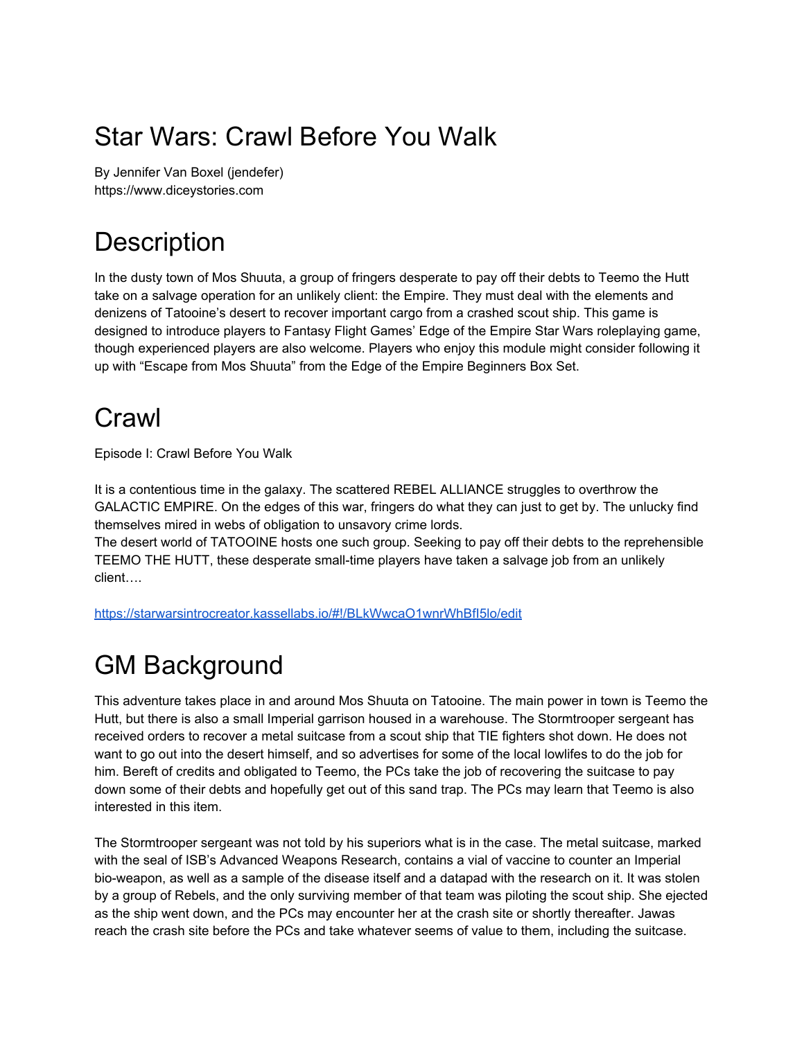# Star Wars: Crawl Before You Walk

By Jennifer Van Boxel (jendefer) https://www.diceystories.com

# **Description**

In the dusty town of Mos Shuuta, a group of fringers desperate to pay off their debts to Teemo the Hutt take on a salvage operation for an unlikely client: the Empire. They must deal with the elements and denizens of Tatooine's desert to recover important cargo from a crashed scout ship. This game is designed to introduce players to Fantasy Flight Games' Edge of the Empire Star Wars roleplaying game, though experienced players are also welcome. Players who enjoy this module might consider following it up with "Escape from Mos Shuuta" from the Edge of the Empire Beginners Box Set.

# Crawl

Episode I: Crawl Before You Walk

It is a contentious time in the galaxy. The scattered REBEL ALLIANCE struggles to overthrow the GALACTIC EMPIRE. On the edges of this war, fringers do what they can just to get by. The unlucky find themselves mired in webs of obligation to unsavory crime lords.

The desert world of TATOOINE hosts one such group. Seeking to pay off their debts to the reprehensible TEEMO THE HUTT, these desperate small-time players have taken a salvage job from an unlikely client….

<https://starwarsintrocreator.kassellabs.io/#!/BLkWwcaO1wnrWhBfI5lo/edit>

# GM Background

This adventure takes place in and around Mos Shuuta on Tatooine. The main power in town is Teemo the Hutt, but there is also a small Imperial garrison housed in a warehouse. The Stormtrooper sergeant has received orders to recover a metal suitcase from a scout ship that TIE fighters shot down. He does not want to go out into the desert himself, and so advertises for some of the local lowlifes to do the job for him. Bereft of credits and obligated to Teemo, the PCs take the job of recovering the suitcase to pay down some of their debts and hopefully get out of this sand trap. The PCs may learn that Teemo is also interested in this item.

The Stormtrooper sergeant was not told by his superiors what is in the case. The metal suitcase, marked with the seal of ISB's Advanced Weapons Research, contains a vial of vaccine to counter an Imperial bio-weapon, as well as a sample of the disease itself and a datapad with the research on it. It was stolen by a group of Rebels, and the only surviving member of that team was piloting the scout ship. She ejected as the ship went down, and the PCs may encounter her at the crash site or shortly thereafter. Jawas reach the crash site before the PCs and take whatever seems of value to them, including the suitcase.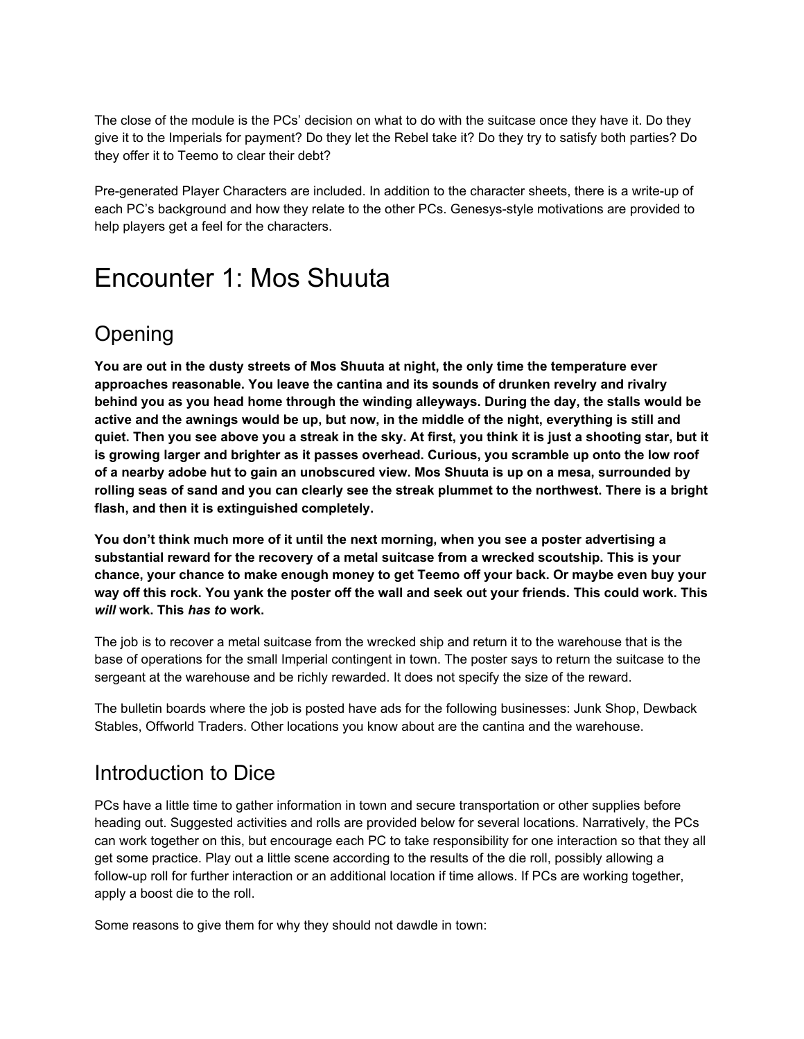The close of the module is the PCs' decision on what to do with the suitcase once they have it. Do they give it to the Imperials for payment? Do they let the Rebel take it? Do they try to satisfy both parties? Do they offer it to Teemo to clear their debt?

Pre-generated Player Characters are included. In addition to the character sheets, there is a write-up of each PC's background and how they relate to the other PCs. Genesys-style motivations are provided to help players get a feel for the characters.

## Encounter 1: Mos Shuuta

## Opening

**You are out in the dusty streets of Mos Shuuta at night, the only time the temperature ever approaches reasonable. You leave the cantina and its sounds of drunken revelry and rivalry behind you as you head home through the winding alleyways. During the day, the stalls would be** active and the awnings would be up, but now, in the middle of the night, everything is still and quiet. Then you see above you a streak in the sky. At first, you think it is just a shooting star, but it **is growing larger and brighter as it passes overhead. Curious, you scramble up onto the low roof of a nearby adobe hut to gain an unobscured view. Mos Shuuta is up on a mesa, surrounded by** rolling seas of sand and you can clearly see the streak plummet to the northwest. There is a bright **flash, and then it is extinguished completely.**

**You don't think much more of it until the next morning, when you see a poster advertising a substantial reward for the recovery of a metal suitcase from a wrecked scoutship. This is your chance, your chance to make enough money to get Teemo off your back. Or maybe even buy your** way off this rock. You yank the poster off the wall and seek out your friends. This could work. This *will* **work. This** *has to* **work.**

The job is to recover a metal suitcase from the wrecked ship and return it to the warehouse that is the base of operations for the small Imperial contingent in town. The poster says to return the suitcase to the sergeant at the warehouse and be richly rewarded. It does not specify the size of the reward.

The bulletin boards where the job is posted have ads for the following businesses: Junk Shop, Dewback Stables, Offworld Traders. Other locations you know about are the cantina and the warehouse.

## Introduction to Dice

PCs have a little time to gather information in town and secure transportation or other supplies before heading out. Suggested activities and rolls are provided below for several locations. Narratively, the PCs can work together on this, but encourage each PC to take responsibility for one interaction so that they all get some practice. Play out a little scene according to the results of the die roll, possibly allowing a follow-up roll for further interaction or an additional location if time allows. If PCs are working together, apply a boost die to the roll.

Some reasons to give them for why they should not dawdle in town: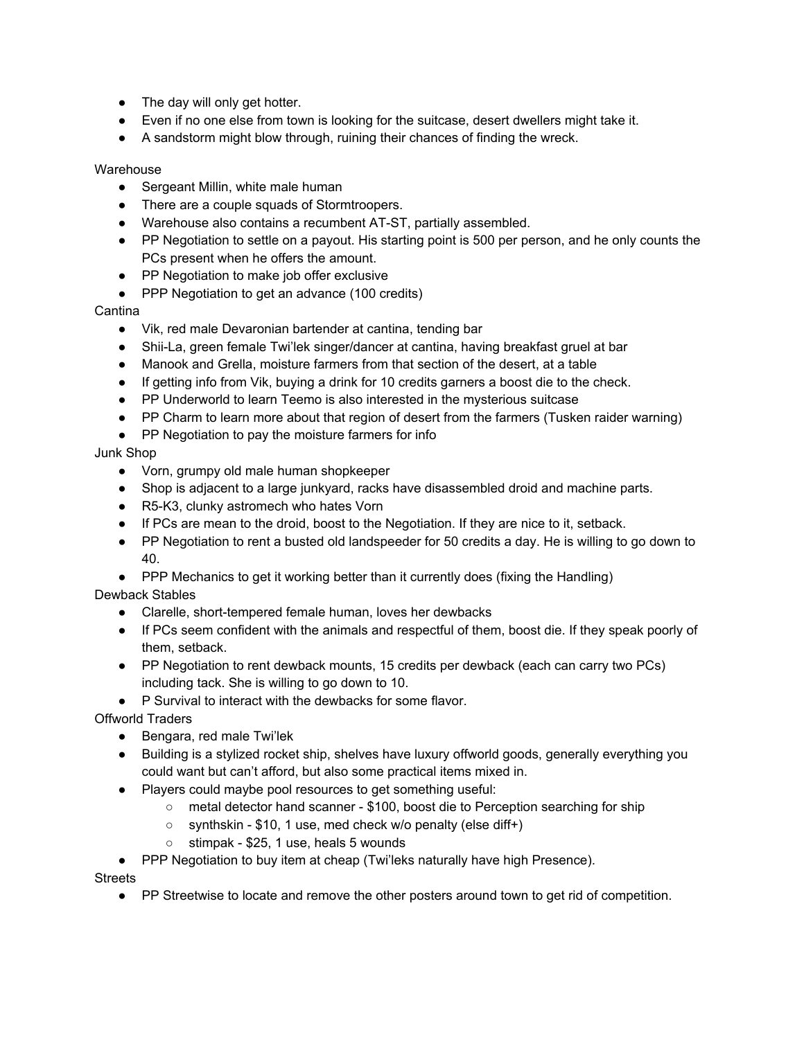- The day will only get hotter.
- Even if no one else from town is looking for the suitcase, desert dwellers might take it.
- A sandstorm might blow through, ruining their chances of finding the wreck.

#### **Warehouse**

- Sergeant Millin, white male human
- There are a couple squads of Stormtroopers.
- Warehouse also contains a recumbent AT-ST, partially assembled.
- PP Negotiation to settle on a payout. His starting point is 500 per person, and he only counts the PCs present when he offers the amount.
- PP Negotiation to make job offer exclusive
- PPP Negotiation to get an advance (100 credits)

#### Cantina

- Vik, red male Devaronian bartender at cantina, tending bar
- Shii-La, green female Twi'lek singer/dancer at cantina, having breakfast gruel at bar
- Manook and Grella, moisture farmers from that section of the desert, at a table
- If getting info from Vik, buying a drink for 10 credits garners a boost die to the check.
- PP Underworld to learn Teemo is also interested in the mysterious suitcase
- PP Charm to learn more about that region of desert from the farmers (Tusken raider warning)
- PP Negotiation to pay the moisture farmers for info

#### Junk Shop

- Vorn, grumpy old male human shopkeeper
- Shop is adjacent to a large junkyard, racks have disassembled droid and machine parts.
- R5-K3, clunky astromech who hates Vorn
- If PCs are mean to the droid, boost to the Negotiation. If they are nice to it, setback.
- PP Negotiation to rent a busted old landspeeder for 50 credits a day. He is willing to go down to 40.
- PPP Mechanics to get it working better than it currently does (fixing the Handling)

#### Dewback Stables

- Clarelle, short-tempered female human, loves her dewbacks
- If PCs seem confident with the animals and respectful of them, boost die. If they speak poorly of them, setback.
- PP Negotiation to rent dewback mounts, 15 credits per dewback (each can carry two PCs) including tack. She is willing to go down to 10.
- P Survival to interact with the dewbacks for some flavor.

Offworld Traders

- Bengara, red male Twi'lek
- Building is a stylized rocket ship, shelves have luxury offworld goods, generally everything you could want but can't afford, but also some practical items mixed in.
- Players could maybe pool resources to get something useful:
	- metal detector hand scanner \$100, boost die to Perception searching for ship
	- synthskin \$10, 1 use, med check w/o penalty (else diff+)
	- stimpak \$25, 1 use, heals 5 wounds
- PPP Negotiation to buy item at cheap (Twi'leks naturally have high Presence).

**Streets** 

● PP Streetwise to locate and remove the other posters around town to get rid of competition.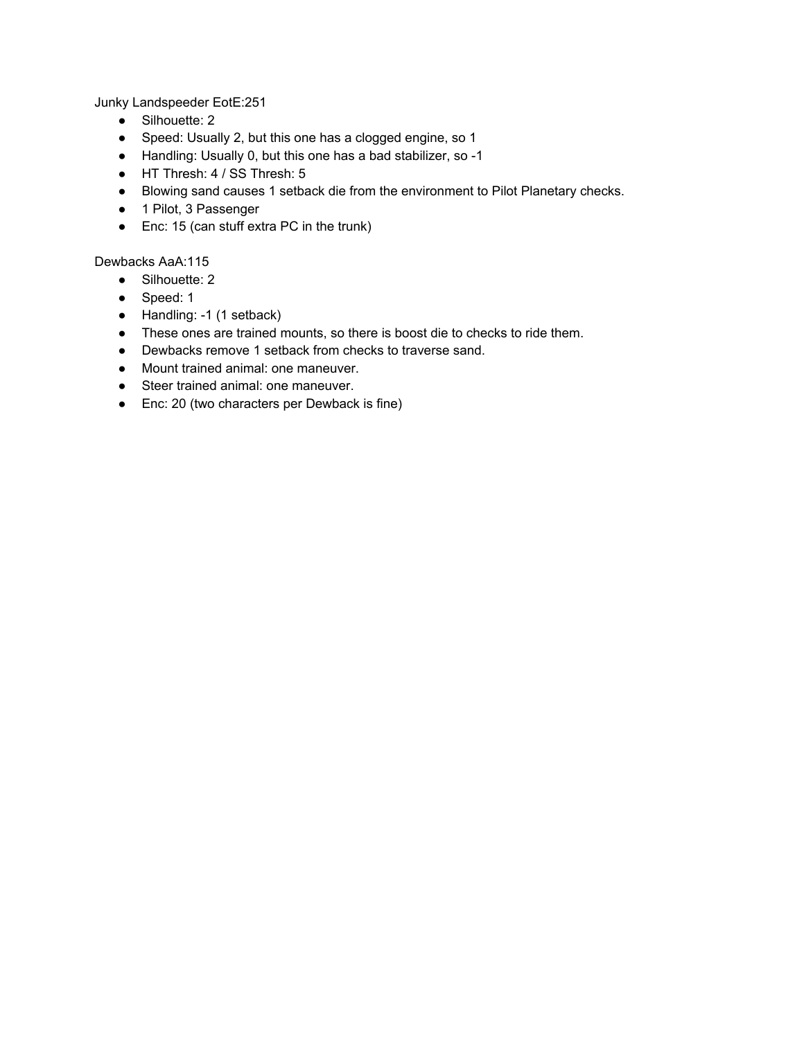Junky Landspeeder EotE:251

- Silhouette: 2
- Speed: Usually 2, but this one has a clogged engine, so 1
- Handling: Usually 0, but this one has a bad stabilizer, so -1
- HT Thresh: 4 / SS Thresh: 5
- Blowing sand causes 1 setback die from the environment to Pilot Planetary checks.
- 1 Pilot, 3 Passenger
- Enc: 15 (can stuff extra PC in the trunk)

Dewbacks AaA:115

- Silhouette: 2
- Speed: 1
- Handling: -1 (1 setback)
- These ones are trained mounts, so there is boost die to checks to ride them.
- Dewbacks remove 1 setback from checks to traverse sand.
- Mount trained animal: one maneuver.
- Steer trained animal: one maneuver.
- Enc: 20 (two characters per Dewback is fine)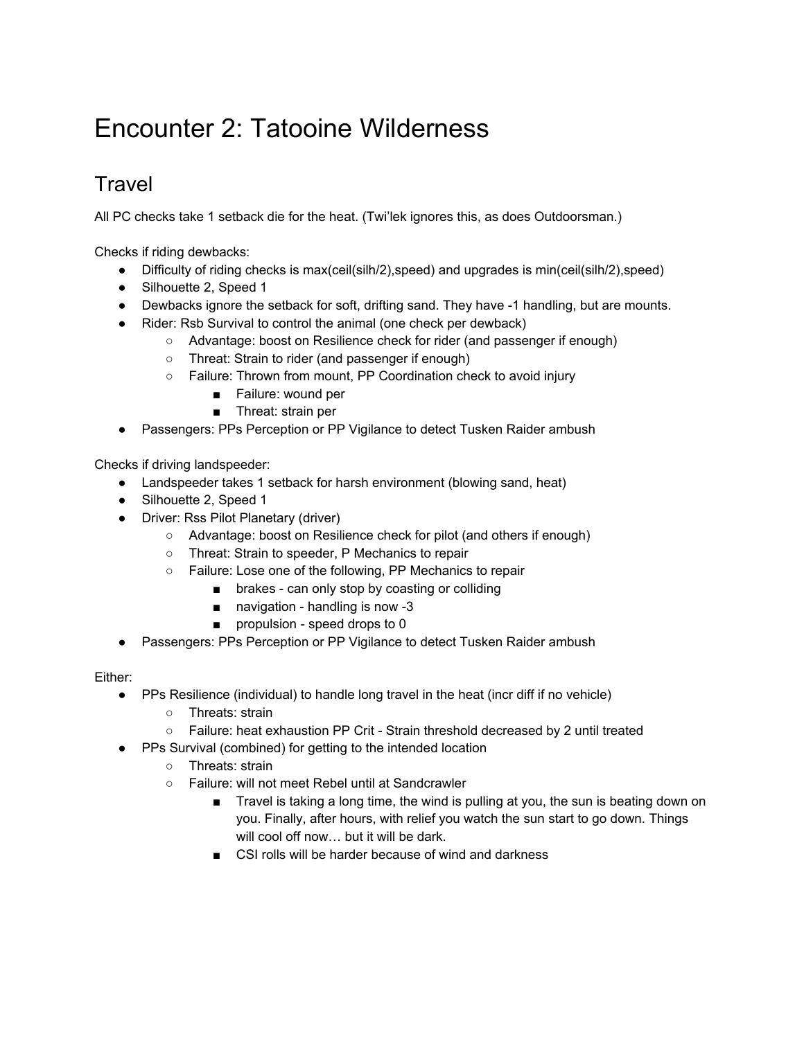# Encounter 2: Tatooine Wilderness

## **Travel**

All PC checks take 1 setback die for the heat. (Twi'lek ignores this, as does Outdoorsman.)

Checks if riding dewbacks:

- Difficulty of riding checks is max(ceil(silh/2),speed) and upgrades is min(ceil(silh/2),speed)
- Silhouette 2, Speed 1
- Dewbacks ignore the setback for soft, drifting sand. They have -1 handling, but are mounts.
- Rider: Rsb Survival to control the animal (one check per dewback)
	- Advantage: boost on Resilience check for rider (and passenger if enough)
		- Threat: Strain to rider (and passenger if enough)
		- Failure: Thrown from mount, PP Coordination check to avoid injury
			- Failure: wound per
			- Threat: strain per
- Passengers: PPs Perception or PP Vigilance to detect Tusken Raider ambush

Checks if driving landspeeder:

- Landspeeder takes 1 setback for harsh environment (blowing sand, heat)
- Silhouette 2, Speed 1
- Driver: Rss Pilot Planetary (driver)
	- Advantage: boost on Resilience check for pilot (and others if enough)
	- Threat: Strain to speeder, P Mechanics to repair
	- Failure: Lose one of the following, PP Mechanics to repair
		- brakes can only stop by coasting or colliding
		- navigation handling is now -3
		- propulsion speed drops to 0
- Passengers: PPs Perception or PP Vigilance to detect Tusken Raider ambush

Either:

- PPs Resilience (individual) to handle long travel in the heat (incr diff if no vehicle)
	- Threats: strain
	- Failure: heat exhaustion PP Crit Strain threshold decreased by 2 until treated
- PPs Survival (combined) for getting to the intended location
	- Threats: strain
	- Failure: will not meet Rebel until at Sandcrawler
		- Travel is taking a long time, the wind is pulling at you, the sun is beating down on you. Finally, after hours, with relief you watch the sun start to go down. Things will cool off now… but it will be dark.
		- CSI rolls will be harder because of wind and darkness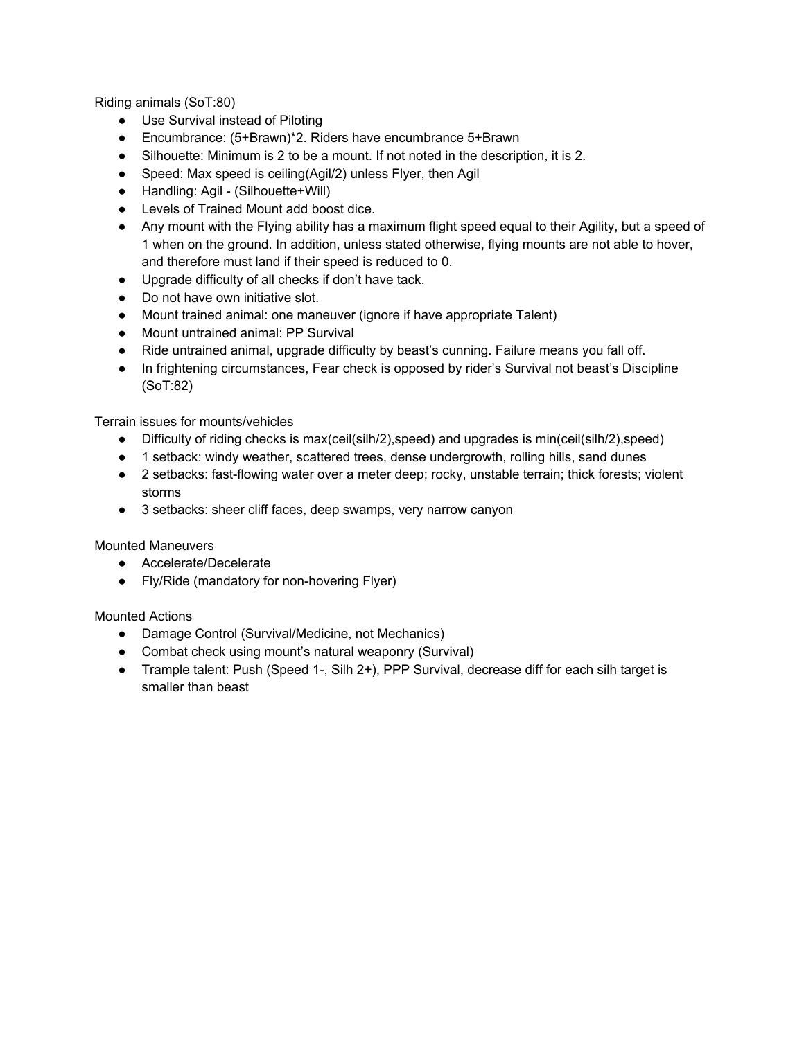Riding animals (SoT:80)

- Use Survival instead of Piloting
- Encumbrance: (5+Brawn)\*2. Riders have encumbrance 5+Brawn
- Silhouette: Minimum is 2 to be a mount. If not noted in the description, it is 2.
- Speed: Max speed is ceiling(Agil/2) unless Flyer, then Agil
- Handling: Agil (Silhouette+Will)
- Levels of Trained Mount add boost dice.
- Any mount with the Flying ability has a maximum flight speed equal to their Agility, but a speed of 1 when on the ground. In addition, unless stated otherwise, flying mounts are not able to hover, and therefore must land if their speed is reduced to 0.
- Upgrade difficulty of all checks if don't have tack.
- Do not have own initiative slot.
- Mount trained animal: one maneuver (ignore if have appropriate Talent)
- Mount untrained animal: PP Survival
- Ride untrained animal, upgrade difficulty by beast's cunning. Failure means you fall off.
- In frightening circumstances, Fear check is opposed by rider's Survival not beast's Discipline (SoT:82)

Terrain issues for mounts/vehicles

- Difficulty of riding checks is max(ceil(silh/2),speed) and upgrades is min(ceil(silh/2),speed)
- 1 setback: windy weather, scattered trees, dense undergrowth, rolling hills, sand dunes
- 2 setbacks: fast-flowing water over a meter deep; rocky, unstable terrain; thick forests; violent storms
- 3 setbacks: sheer cliff faces, deep swamps, very narrow canyon

Mounted Maneuvers

- Accelerate/Decelerate
- Fly/Ride (mandatory for non-hovering Flyer)

#### Mounted Actions

- Damage Control (Survival/Medicine, not Mechanics)
- Combat check using mount's natural weaponry (Survival)
- Trample talent: Push (Speed 1-, Silh 2+), PPP Survival, decrease diff for each silh target is smaller than beast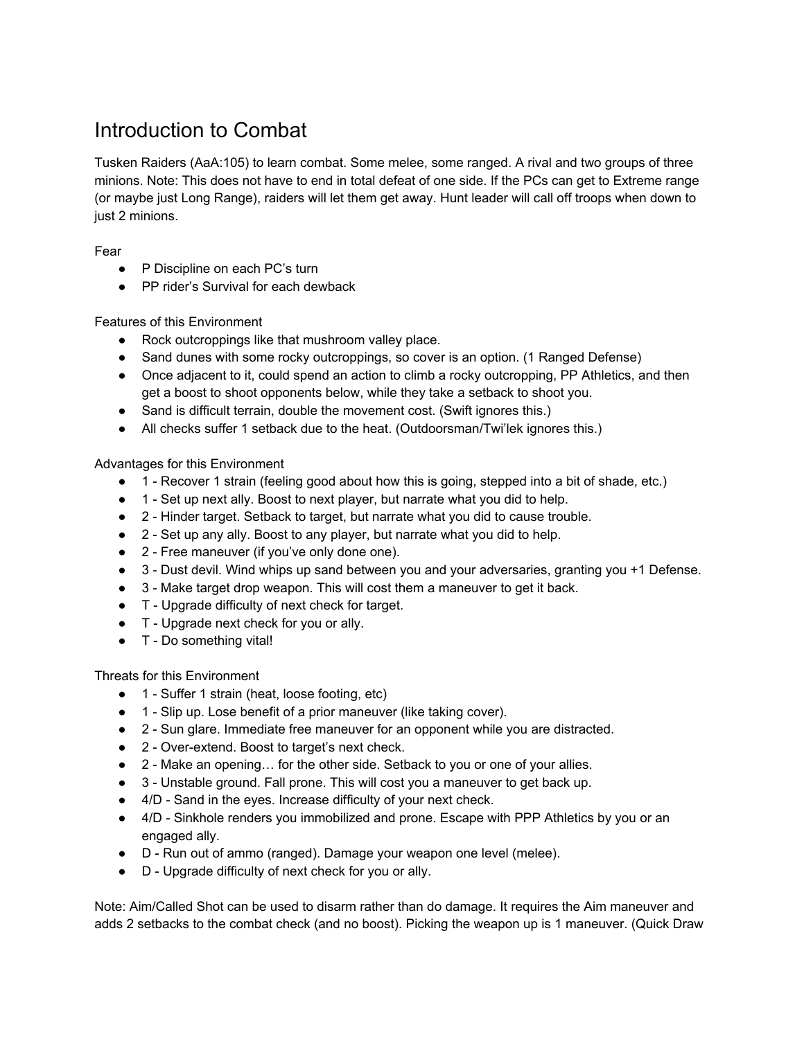## Introduction to Combat

Tusken Raiders (AaA:105) to learn combat. Some melee, some ranged. A rival and two groups of three minions. Note: This does not have to end in total defeat of one side. If the PCs can get to Extreme range (or maybe just Long Range), raiders will let them get away. Hunt leader will call off troops when down to just 2 minions.

Fear

- P Discipline on each PC's turn
- PP rider's Survival for each dewback

Features of this Environment

- Rock outcroppings like that mushroom valley place.
- Sand dunes with some rocky outcroppings, so cover is an option. (1 Ranged Defense)
- Once adjacent to it, could spend an action to climb a rocky outcropping, PP Athletics, and then get a boost to shoot opponents below, while they take a setback to shoot you.
- Sand is difficult terrain, double the movement cost. (Swift ignores this.)
- All checks suffer 1 setback due to the heat. (Outdoorsman/Twi'lek ignores this.)

Advantages for this Environment

- 1 Recover 1 strain (feeling good about how this is going, stepped into a bit of shade, etc.)
- 1 Set up next ally. Boost to next player, but narrate what you did to help.
- 2 Hinder target. Setback to target, but narrate what you did to cause trouble.
- 2 Set up any ally. Boost to any player, but narrate what you did to help.
- 2 Free maneuver (if you've only done one).
- 3 Dust devil. Wind whips up sand between you and your adversaries, granting you +1 Defense.
- 3 Make target drop weapon. This will cost them a maneuver to get it back.
- T Upgrade difficulty of next check for target.
- T Upgrade next check for you or ally.
- T Do something vital!

Threats for this Environment

- 1 Suffer 1 strain (heat, loose footing, etc)
- 1 Slip up. Lose benefit of a prior maneuver (like taking cover).
- 2 Sun glare. Immediate free maneuver for an opponent while you are distracted.
- 2 Over-extend. Boost to target's next check.
- 2 Make an opening... for the other side. Setback to you or one of your allies.
- 3 Unstable ground. Fall prone. This will cost you a maneuver to get back up.
- 4/D Sand in the eyes. Increase difficulty of your next check.
- 4/D Sinkhole renders you immobilized and prone. Escape with PPP Athletics by you or an engaged ally.
- D Run out of ammo (ranged). Damage your weapon one level (melee).
- D Upgrade difficulty of next check for you or ally.

Note: Aim/Called Shot can be used to disarm rather than do damage. It requires the Aim maneuver and adds 2 setbacks to the combat check (and no boost). Picking the weapon up is 1 maneuver. (Quick Draw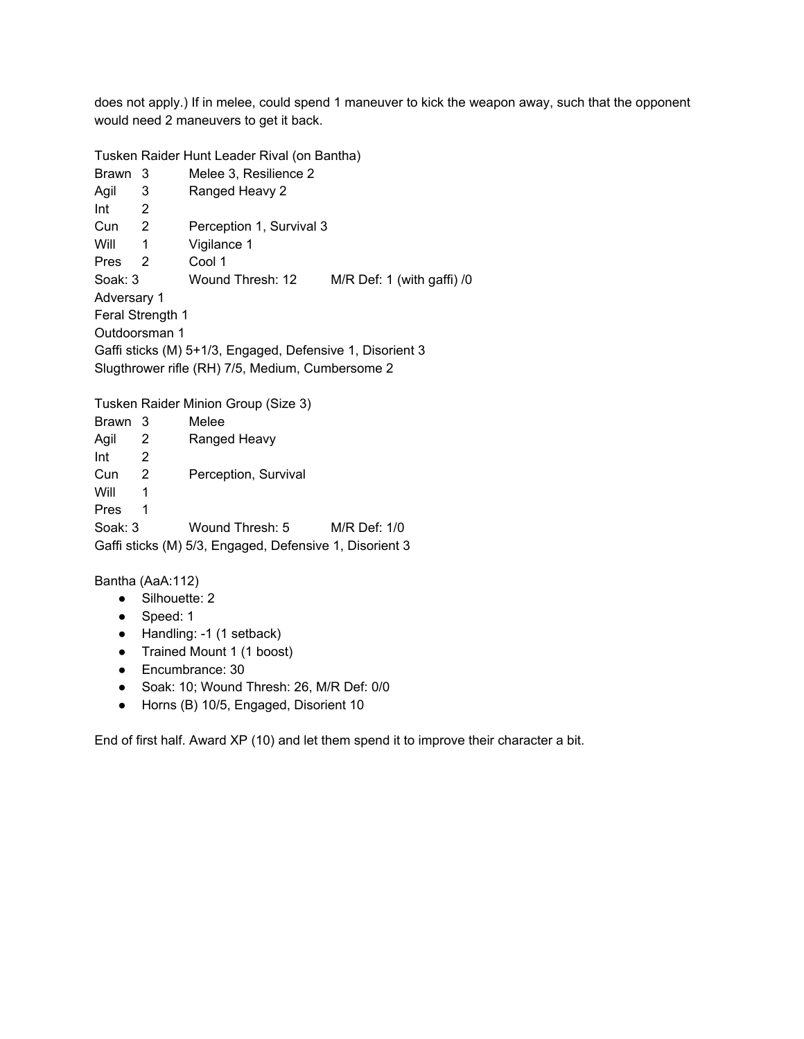does not apply.) If in melee, could spend 1 maneuver to kick the weapon away, such that the opponent would need 2 maneuvers to get it back.

Tusken Raider Hunt Leader Rival (on Bantha)

| <b>Brawn</b>                                              | 3 | Melee 3, Resilience 2    |                              |  |  |
|-----------------------------------------------------------|---|--------------------------|------------------------------|--|--|
| Agil                                                      | 3 | Ranged Heavy 2           |                              |  |  |
| Int                                                       | 2 |                          |                              |  |  |
| Cun                                                       | 2 | Perception 1, Survival 3 |                              |  |  |
| Will                                                      | 1 | Vigilance 1              |                              |  |  |
| <b>Pres</b>                                               | 2 | Cool 1                   |                              |  |  |
| Soak: 3                                                   |   | Wound Thresh: 12         | $M/R$ Def: 1 (with gaffi) /0 |  |  |
| Adversary 1                                               |   |                          |                              |  |  |
| Feral Strength 1                                          |   |                          |                              |  |  |
| Outdoorsman 1                                             |   |                          |                              |  |  |
| Gaffi sticks (M) 5+1/3, Engaged, Defensive 1, Disorient 3 |   |                          |                              |  |  |
| Slugthrower rifle (RH) 7/5, Medium, Cumbersome 2          |   |                          |                              |  |  |
|                                                           |   |                          |                              |  |  |

Tusken Raider Minion Group (Size 3)

Brawn 3 Melee Agil 2 Ranged Heavy  $Int \t 2$ Cun 2 Perception, Survival Will 1 Pres 1 Soak: 3 Wound Thresh: 5 M/R Def: 1/0 Gaffi sticks (M) 5/3, Engaged, Defensive 1, Disorient 3

Bantha (AaA:112)

- Silhouette: 2
- Speed: 1
- Handling: -1 (1 setback)
- Trained Mount 1 (1 boost)
- Encumbrance: 30
- Soak: 10; Wound Thresh: 26, M/R Def: 0/0
- Horns (B) 10/5, Engaged, Disorient 10

End of first half. Award XP (10) and let them spend it to improve their character a bit.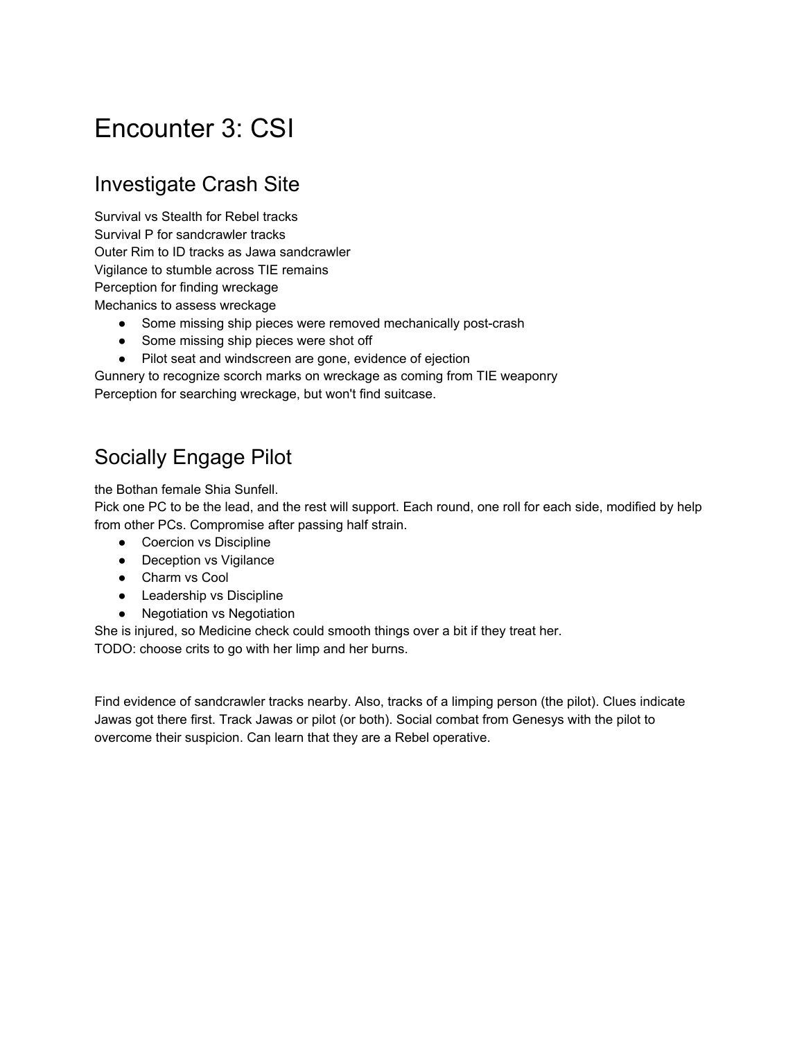# Encounter 3: CSI

## Investigate Crash Site

Survival vs Stealth for Rebel tracks Survival P for sandcrawler tracks Outer Rim to ID tracks as Jawa sandcrawler Vigilance to stumble across TIE remains Perception for finding wreckage Mechanics to assess wreckage

- Some missing ship pieces were removed mechanically post-crash
- Some missing ship pieces were shot off
- Pilot seat and windscreen are gone, evidence of ejection

Gunnery to recognize scorch marks on wreckage as coming from TIE weaponry Perception for searching wreckage, but won't find suitcase.

## Socially Engage Pilot

the Bothan female Shia Sunfell.

Pick one PC to be the lead, and the rest will support. Each round, one roll for each side, modified by help from other PCs. Compromise after passing half strain.

- Coercion vs Discipline
- Deception vs Vigilance
- Charm vs Cool
- Leadership vs Discipline
- Negotiation vs Negotiation

She is injured, so Medicine check could smooth things over a bit if they treat her. TODO: choose crits to go with her limp and her burns.

Find evidence of sandcrawler tracks nearby. Also, tracks of a limping person (the pilot). Clues indicate Jawas got there first. Track Jawas or pilot (or both). Social combat from Genesys with the pilot to overcome their suspicion. Can learn that they are a Rebel operative.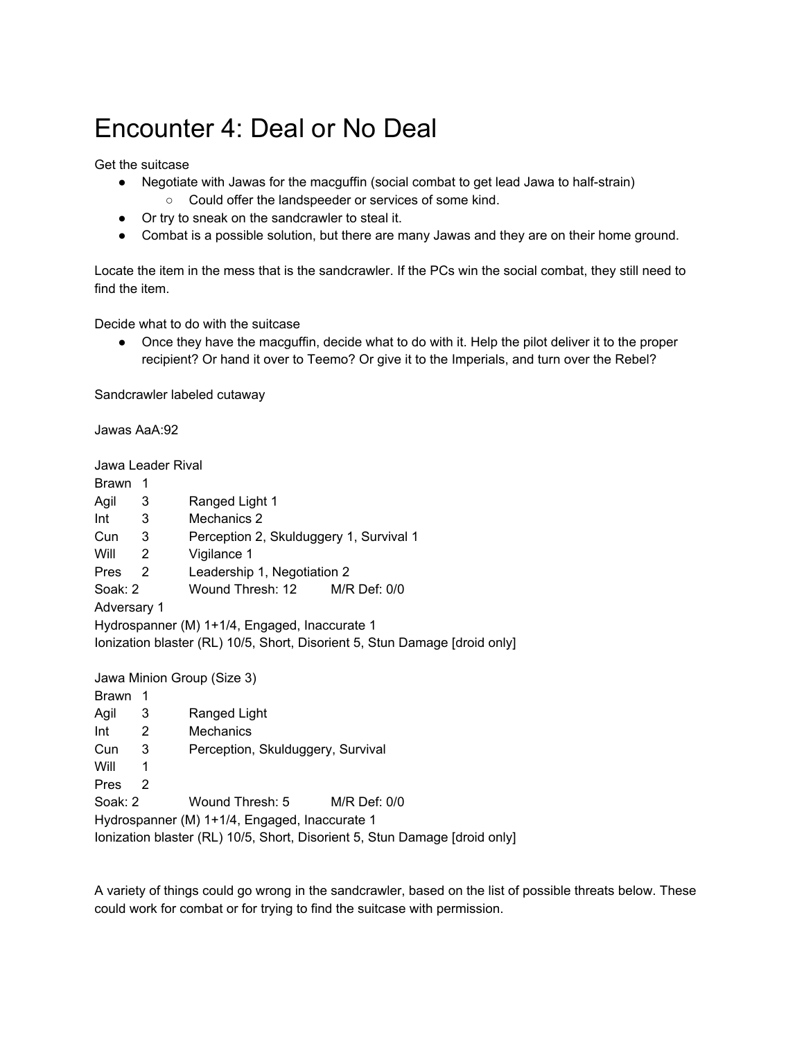# Encounter 4: Deal or No Deal

Get the suitcase

- Negotiate with Jawas for the macguffin (social combat to get lead Jawa to half-strain) ○ Could offer the landspeeder or services of some kind.
- Or try to sneak on the sandcrawler to steal it.
- Combat is a possible solution, but there are many Jawas and they are on their home ground.

Locate the item in the mess that is the sandcrawler. If the PCs win the social combat, they still need to find the item.

Decide what to do with the suitcase

• Once they have the macguffin, decide what to do with it. Help the pilot deliver it to the proper recipient? Or hand it over to Teemo? Or give it to the Imperials, and turn over the Rebel?

Sandcrawler labeled cutaway

Jawas AaA:92

Jawa Leader Rival

| Brawn 1                                                                    |                         |                                         |  |  |  |
|----------------------------------------------------------------------------|-------------------------|-----------------------------------------|--|--|--|
| Agil                                                                       | 3                       | Ranged Light 1                          |  |  |  |
| Int                                                                        | 3                       | Mechanics 2                             |  |  |  |
| Cun                                                                        | 3                       | Perception 2, Skulduggery 1, Survival 1 |  |  |  |
| $\overline{\phantom{0}}^2$<br>Will                                         |                         | Vigilance 1                             |  |  |  |
| Pres <sub>2</sub>                                                          |                         | Leadership 1, Negotiation 2             |  |  |  |
| Soak: 2                                                                    |                         | Wound Thresh: 12<br>$M/R$ Def: $0/0$    |  |  |  |
| Adversary 1                                                                |                         |                                         |  |  |  |
| Hydrospanner (M) 1+1/4, Engaged, Inaccurate 1                              |                         |                                         |  |  |  |
| Ionization blaster (RL) 10/5, Short, Disorient 5, Stun Damage [droid only] |                         |                                         |  |  |  |
|                                                                            |                         |                                         |  |  |  |
| Jawa Minion Group (Size 3)                                                 |                         |                                         |  |  |  |
| Brawn                                                                      | - 1                     |                                         |  |  |  |
| Agil                                                                       | $\overline{\mathbf{3}}$ | Ranged Light                            |  |  |  |
| $\overline{\phantom{0}}^2$<br>Int                                          |                         | Mechanics                               |  |  |  |
| Cun                                                                        | 3                       | Perception, Skulduggery, Survival       |  |  |  |
| Will                                                                       | 1                       |                                         |  |  |  |
| Pres                                                                       | 2                       |                                         |  |  |  |
| Soak: 2                                                                    |                         | Wound Thresh: 5<br>$M/R$ Def: $0/0$     |  |  |  |

Hydrospanner (M) 1+1/4, Engaged, Inaccurate 1

Ionization blaster (RL) 10/5, Short, Disorient 5, Stun Damage [droid only]

A variety of things could go wrong in the sandcrawler, based on the list of possible threats below. These could work for combat or for trying to find the suitcase with permission.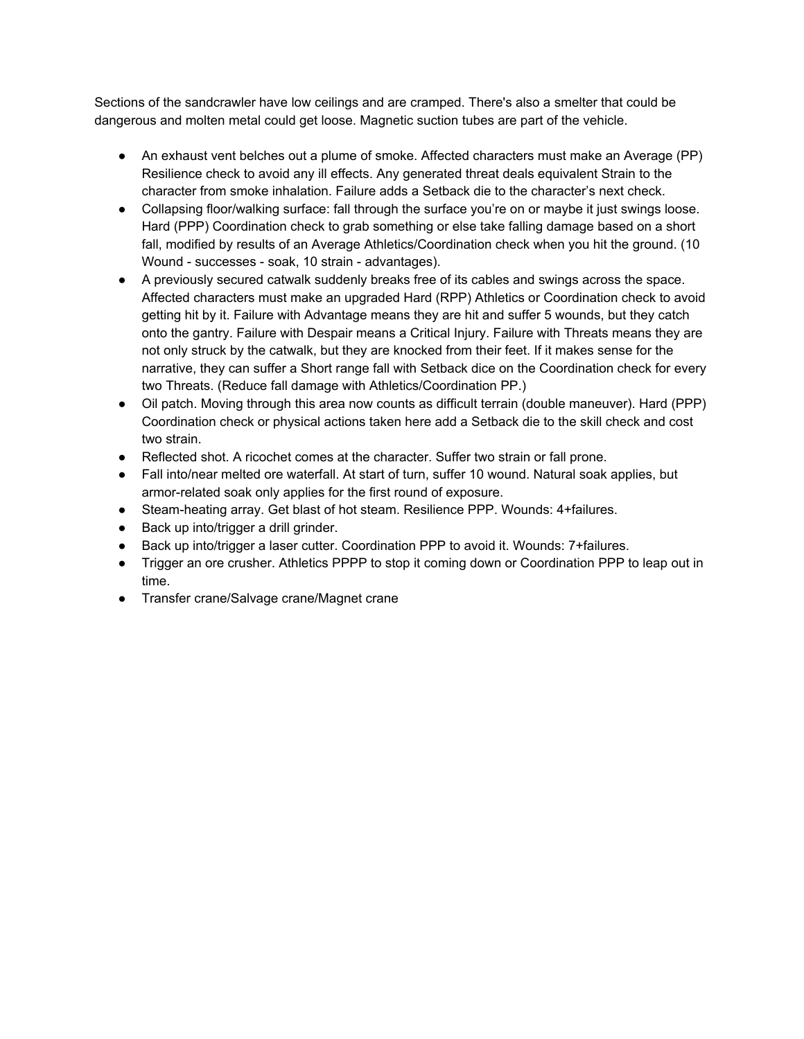Sections of the sandcrawler have low ceilings and are cramped. There's also a smelter that could be dangerous and molten metal could get loose. Magnetic suction tubes are part of the vehicle.

- An exhaust vent belches out a plume of smoke. Affected characters must make an Average (PP) Resilience check to avoid any ill effects. Any generated threat deals equivalent Strain to the character from smoke inhalation. Failure adds a Setback die to the character's next check.
- Collapsing floor/walking surface: fall through the surface you're on or maybe it just swings loose. Hard (PPP) Coordination check to grab something or else take falling damage based on a short fall, modified by results of an Average Athletics/Coordination check when you hit the ground. (10 Wound - successes - soak, 10 strain - advantages).
- A previously secured catwalk suddenly breaks free of its cables and swings across the space. Affected characters must make an upgraded Hard (RPP) Athletics or Coordination check to avoid getting hit by it. Failure with Advantage means they are hit and suffer 5 wounds, but they catch onto the gantry. Failure with Despair means a Critical Injury. Failure with Threats means they are not only struck by the catwalk, but they are knocked from their feet. If it makes sense for the narrative, they can suffer a Short range fall with Setback dice on the Coordination check for every two Threats. (Reduce fall damage with Athletics/Coordination PP.)
- Oil patch. Moving through this area now counts as difficult terrain (double maneuver). Hard (PPP) Coordination check or physical actions taken here add a Setback die to the skill check and cost two strain.
- Reflected shot. A ricochet comes at the character. Suffer two strain or fall prone.
- Fall into/near melted ore waterfall. At start of turn, suffer 10 wound. Natural soak applies, but armor-related soak only applies for the first round of exposure.
- Steam-heating array. Get blast of hot steam. Resilience PPP. Wounds: 4+failures.
- Back up into/trigger a drill grinder.
- Back up into/trigger a laser cutter. Coordination PPP to avoid it. Wounds: 7+failures.
- Trigger an ore crusher. Athletics PPPP to stop it coming down or Coordination PPP to leap out in time.
- Transfer crane/Salvage crane/Magnet crane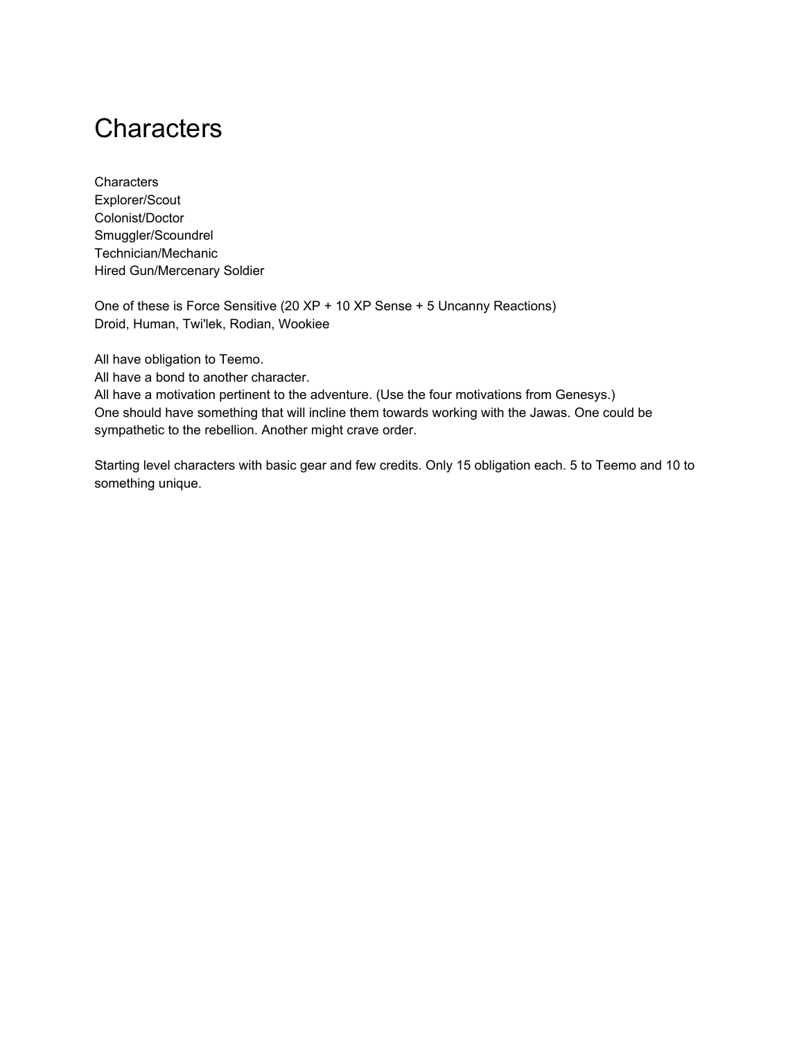# **Characters**

**Characters** Explorer/Scout Colonist/Doctor Smuggler/Scoundrel Technician/Mechanic Hired Gun/Mercenary Soldier

One of these is Force Sensitive (20 XP + 10 XP Sense + 5 Uncanny Reactions) Droid, Human, Twi'lek, Rodian, Wookiee

All have obligation to Teemo.

All have a bond to another character.

All have a motivation pertinent to the adventure. (Use the four motivations from Genesys.) One should have something that will incline them towards working with the Jawas. One could be sympathetic to the rebellion. Another might crave order.

Starting level characters with basic gear and few credits. Only 15 obligation each. 5 to Teemo and 10 to something unique.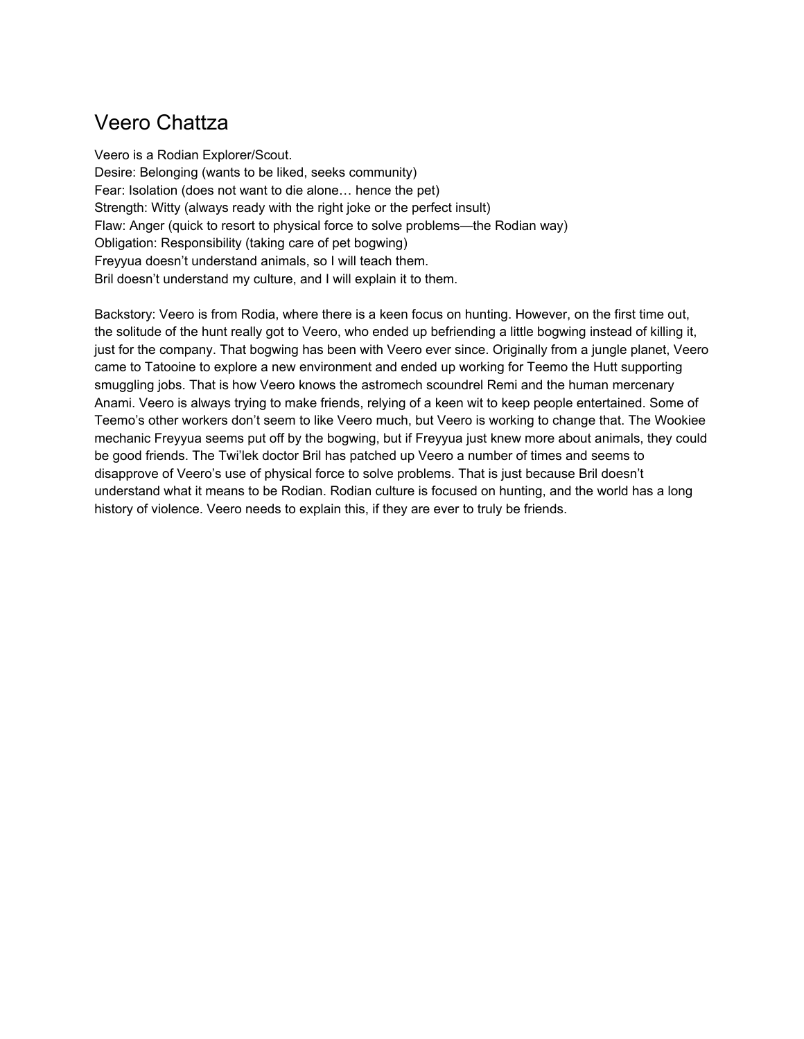## Veero Chattza

Veero is a Rodian Explorer/Scout. Desire: Belonging (wants to be liked, seeks community) Fear: Isolation (does not want to die alone… hence the pet) Strength: Witty (always ready with the right joke or the perfect insult) Flaw: Anger (quick to resort to physical force to solve problems—the Rodian way) Obligation: Responsibility (taking care of pet bogwing) Freyyua doesn't understand animals, so I will teach them. Bril doesn't understand my culture, and I will explain it to them.

Backstory: Veero is from Rodia, where there is a keen focus on hunting. However, on the first time out, the solitude of the hunt really got to Veero, who ended up befriending a little bogwing instead of killing it, just for the company. That bogwing has been with Veero ever since. Originally from a jungle planet, Veero came to Tatooine to explore a new environment and ended up working for Teemo the Hutt supporting smuggling jobs. That is how Veero knows the astromech scoundrel Remi and the human mercenary Anami. Veero is always trying to make friends, relying of a keen wit to keep people entertained. Some of Teemo's other workers don't seem to like Veero much, but Veero is working to change that. The Wookiee mechanic Freyyua seems put off by the bogwing, but if Freyyua just knew more about animals, they could be good friends. The Twi'lek doctor Bril has patched up Veero a number of times and seems to disapprove of Veero's use of physical force to solve problems. That is just because Bril doesn't understand what it means to be Rodian. Rodian culture is focused on hunting, and the world has a long history of violence. Veero needs to explain this, if they are ever to truly be friends.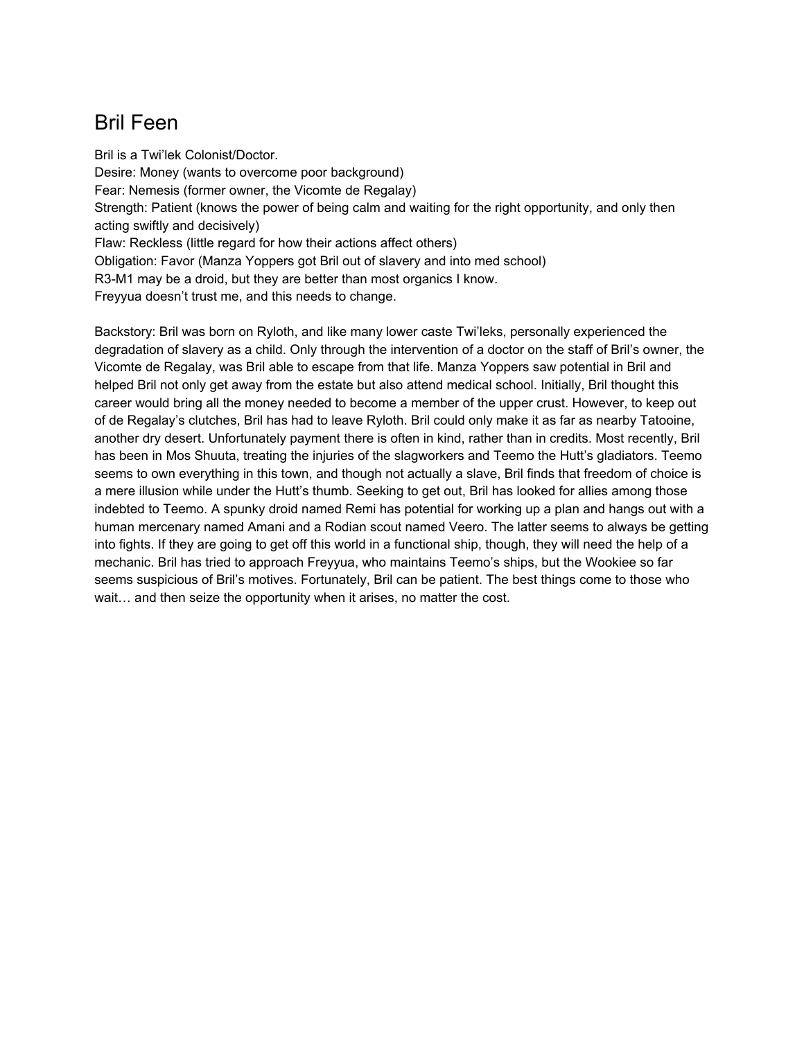## Bril Feen

Bril is a Twi'lek Colonist/Doctor. Desire: Money (wants to overcome poor background) Fear: Nemesis (former owner, the Vicomte de Regalay) Strength: Patient (knows the power of being calm and waiting for the right opportunity, and only then acting swiftly and decisively) Flaw: Reckless (little regard for how their actions affect others) Obligation: Favor (Manza Yoppers got Bril out of slavery and into med school) R3-M1 may be a droid, but they are better than most organics I know. Freyyua doesn't trust me, and this needs to change.

Backstory: Bril was born on Ryloth, and like many lower caste Twi'leks, personally experienced the degradation of slavery as a child. Only through the intervention of a doctor on the staff of Bril's owner, the Vicomte de Regalay, was Bril able to escape from that life. Manza Yoppers saw potential in Bril and helped Bril not only get away from the estate but also attend medical school. Initially, Bril thought this career would bring all the money needed to become a member of the upper crust. However, to keep out of de Regalay's clutches, Bril has had to leave Ryloth. Bril could only make it as far as nearby Tatooine, another dry desert. Unfortunately payment there is often in kind, rather than in credits. Most recently, Bril has been in Mos Shuuta, treating the injuries of the slagworkers and Teemo the Hutt's gladiators. Teemo seems to own everything in this town, and though not actually a slave, Bril finds that freedom of choice is a mere illusion while under the Hutt's thumb. Seeking to get out, Bril has looked for allies among those indebted to Teemo. A spunky droid named Remi has potential for working up a plan and hangs out with a human mercenary named Amani and a Rodian scout named Veero. The latter seems to always be getting into fights. If they are going to get off this world in a functional ship, though, they will need the help of a mechanic. Bril has tried to approach Freyyua, who maintains Teemo's ships, but the Wookiee so far seems suspicious of Bril's motives. Fortunately, Bril can be patient. The best things come to those who wait… and then seize the opportunity when it arises, no matter the cost.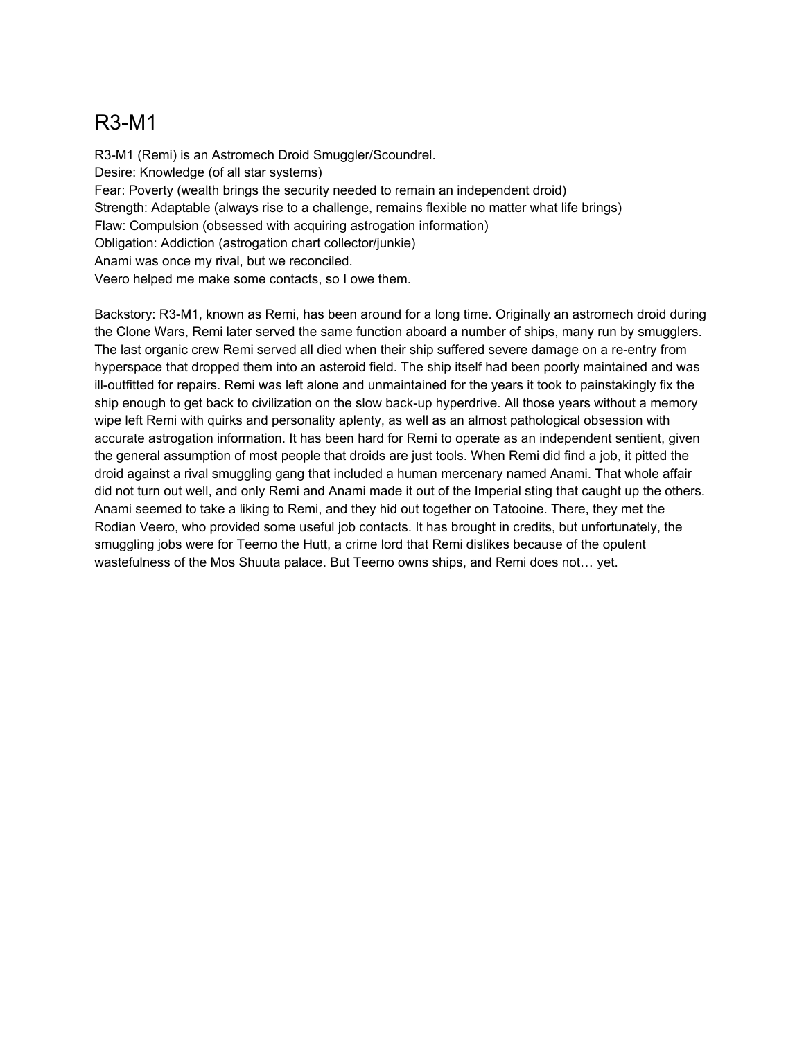## R3-M1

R3-M1 (Remi) is an Astromech Droid Smuggler/Scoundrel. Desire: Knowledge (of all star systems) Fear: Poverty (wealth brings the security needed to remain an independent droid) Strength: Adaptable (always rise to a challenge, remains flexible no matter what life brings) Flaw: Compulsion (obsessed with acquiring astrogation information) Obligation: Addiction (astrogation chart collector/junkie) Anami was once my rival, but we reconciled. Veero helped me make some contacts, so I owe them.

Backstory: R3-M1, known as Remi, has been around for a long time. Originally an astromech droid during the Clone Wars, Remi later served the same function aboard a number of ships, many run by smugglers. The last organic crew Remi served all died when their ship suffered severe damage on a re-entry from hyperspace that dropped them into an asteroid field. The ship itself had been poorly maintained and was ill-outfitted for repairs. Remi was left alone and unmaintained for the years it took to painstakingly fix the ship enough to get back to civilization on the slow back-up hyperdrive. All those years without a memory wipe left Remi with quirks and personality aplenty, as well as an almost pathological obsession with accurate astrogation information. It has been hard for Remi to operate as an independent sentient, given the general assumption of most people that droids are just tools. When Remi did find a job, it pitted the droid against a rival smuggling gang that included a human mercenary named Anami. That whole affair did not turn out well, and only Remi and Anami made it out of the Imperial sting that caught up the others. Anami seemed to take a liking to Remi, and they hid out together on Tatooine. There, they met the Rodian Veero, who provided some useful job contacts. It has brought in credits, but unfortunately, the smuggling jobs were for Teemo the Hutt, a crime lord that Remi dislikes because of the opulent wastefulness of the Mos Shuuta palace. But Teemo owns ships, and Remi does not… yet.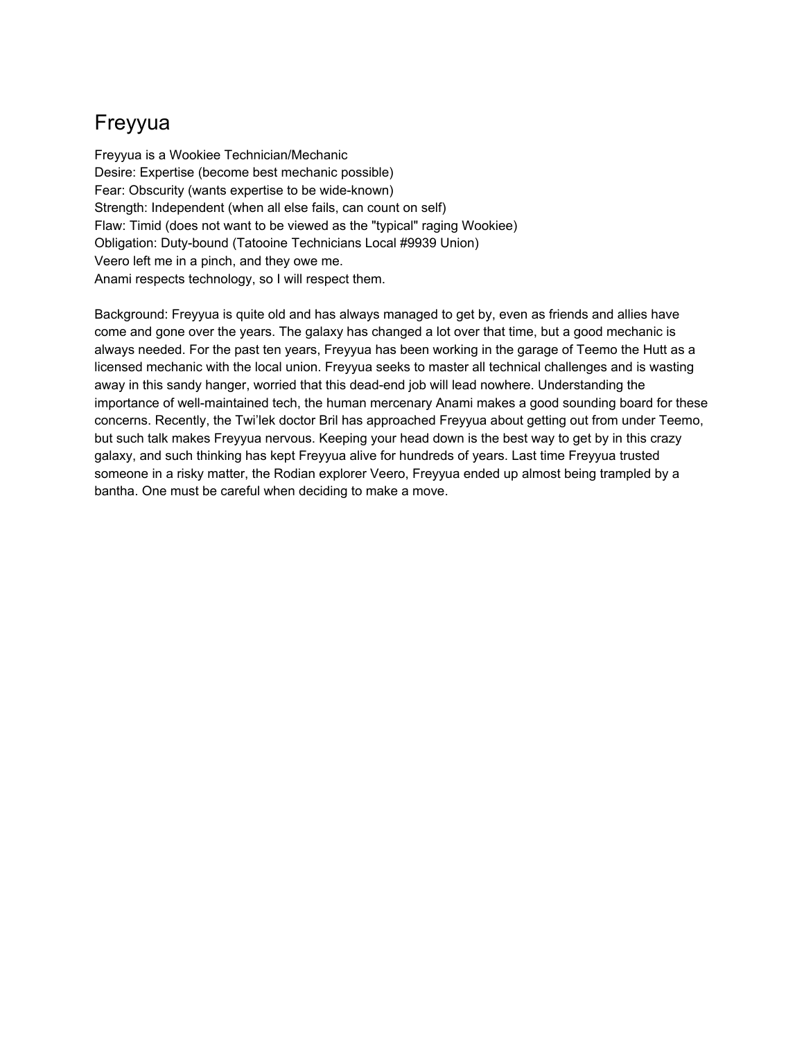## Freyyua

Freyyua is a Wookiee Technician/Mechanic Desire: Expertise (become best mechanic possible) Fear: Obscurity (wants expertise to be wide-known) Strength: Independent (when all else fails, can count on self) Flaw: Timid (does not want to be viewed as the "typical" raging Wookiee) Obligation: Duty-bound (Tatooine Technicians Local #9939 Union) Veero left me in a pinch, and they owe me. Anami respects technology, so I will respect them.

Background: Freyyua is quite old and has always managed to get by, even as friends and allies have come and gone over the years. The galaxy has changed a lot over that time, but a good mechanic is always needed. For the past ten years, Freyyua has been working in the garage of Teemo the Hutt as a licensed mechanic with the local union. Freyyua seeks to master all technical challenges and is wasting away in this sandy hanger, worried that this dead-end job will lead nowhere. Understanding the importance of well-maintained tech, the human mercenary Anami makes a good sounding board for these concerns. Recently, the Twi'lek doctor Bril has approached Freyyua about getting out from under Teemo, but such talk makes Freyyua nervous. Keeping your head down is the best way to get by in this crazy galaxy, and such thinking has kept Freyyua alive for hundreds of years. Last time Freyyua trusted someone in a risky matter, the Rodian explorer Veero, Freyyua ended up almost being trampled by a bantha. One must be careful when deciding to make a move.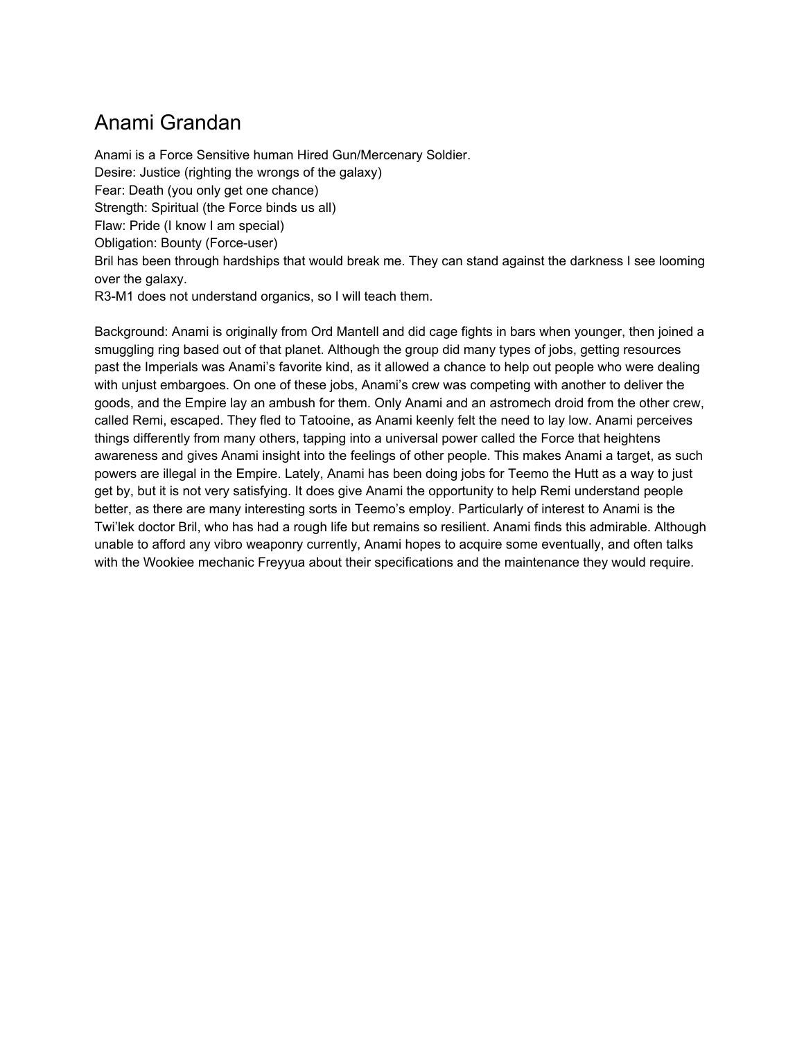## Anami Grandan

Anami is a Force Sensitive human Hired Gun/Mercenary Soldier. Desire: Justice (righting the wrongs of the galaxy) Fear: Death (you only get one chance) Strength: Spiritual (the Force binds us all) Flaw: Pride (I know I am special) Obligation: Bounty (Force-user) Bril has been through hardships that would break me. They can stand against the darkness I see looming over the galaxy. R3-M1 does not understand organics, so I will teach them.

Background: Anami is originally from Ord Mantell and did cage fights in bars when younger, then joined a smuggling ring based out of that planet. Although the group did many types of jobs, getting resources past the Imperials was Anami's favorite kind, as it allowed a chance to help out people who were dealing with unjust embargoes. On one of these jobs, Anami's crew was competing with another to deliver the goods, and the Empire lay an ambush for them. Only Anami and an astromech droid from the other crew, called Remi, escaped. They fled to Tatooine, as Anami keenly felt the need to lay low. Anami perceives things differently from many others, tapping into a universal power called the Force that heightens awareness and gives Anami insight into the feelings of other people. This makes Anami a target, as such powers are illegal in the Empire. Lately, Anami has been doing jobs for Teemo the Hutt as a way to just get by, but it is not very satisfying. It does give Anami the opportunity to help Remi understand people better, as there are many interesting sorts in Teemo's employ. Particularly of interest to Anami is the Twi'lek doctor Bril, who has had a rough life but remains so resilient. Anami finds this admirable. Although unable to afford any vibro weaponry currently, Anami hopes to acquire some eventually, and often talks with the Wookiee mechanic Freyyua about their specifications and the maintenance they would require.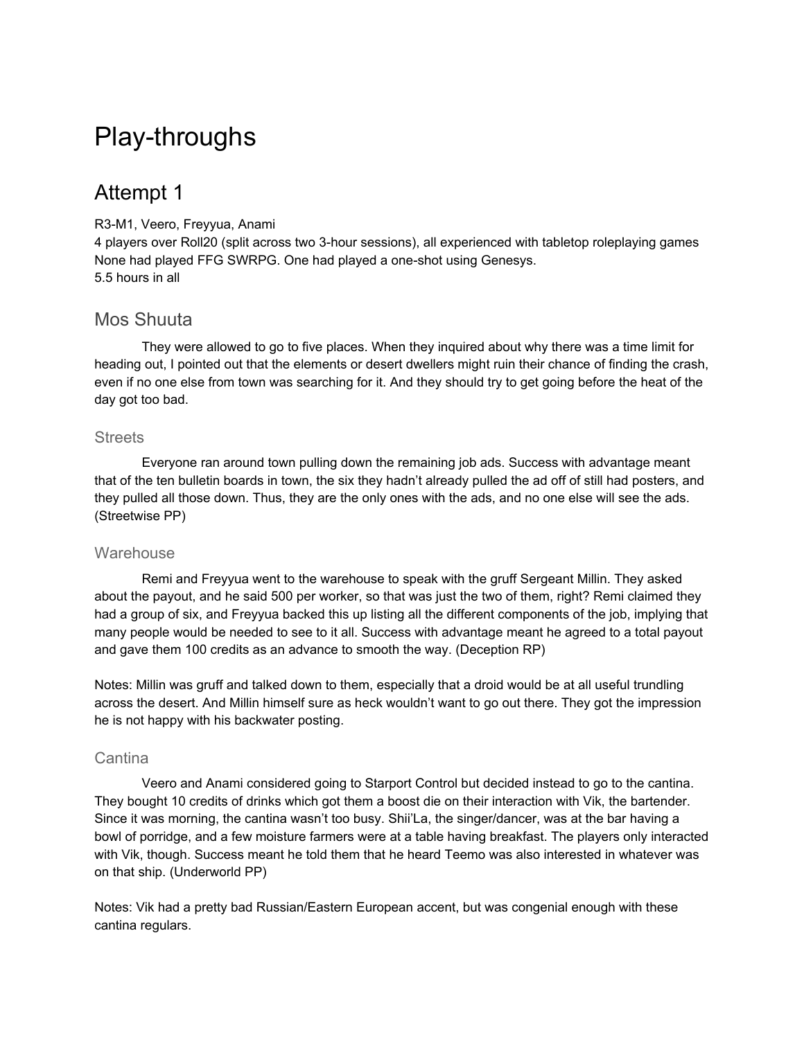# Play-throughs

## Attempt 1

#### R3-M1, Veero, Freyyua, Anami

4 players over Roll20 (split across two 3-hour sessions), all experienced with tabletop roleplaying games None had played FFG SWRPG. One had played a one-shot using Genesys. 5.5 hours in all

### Mos Shuuta

They were allowed to go to five places. When they inquired about why there was a time limit for heading out, I pointed out that the elements or desert dwellers might ruin their chance of finding the crash, even if no one else from town was searching for it. And they should try to get going before the heat of the day got too bad.

#### **Streets**

Everyone ran around town pulling down the remaining job ads. Success with advantage meant that of the ten bulletin boards in town, the six they hadn't already pulled the ad off of still had posters, and they pulled all those down. Thus, they are the only ones with the ads, and no one else will see the ads. (Streetwise PP)

#### **Warehouse**

Remi and Freyyua went to the warehouse to speak with the gruff Sergeant Millin. They asked about the payout, and he said 500 per worker, so that was just the two of them, right? Remi claimed they had a group of six, and Freyyua backed this up listing all the different components of the job, implying that many people would be needed to see to it all. Success with advantage meant he agreed to a total payout and gave them 100 credits as an advance to smooth the way. (Deception RP)

Notes: Millin was gruff and talked down to them, especially that a droid would be at all useful trundling across the desert. And Millin himself sure as heck wouldn't want to go out there. They got the impression he is not happy with his backwater posting.

#### **Cantina**

Veero and Anami considered going to Starport Control but decided instead to go to the cantina. They bought 10 credits of drinks which got them a boost die on their interaction with Vik, the bartender. Since it was morning, the cantina wasn't too busy. Shii'La, the singer/dancer, was at the bar having a bowl of porridge, and a few moisture farmers were at a table having breakfast. The players only interacted with Vik, though. Success meant he told them that he heard Teemo was also interested in whatever was on that ship. (Underworld PP)

Notes: Vik had a pretty bad Russian/Eastern European accent, but was congenial enough with these cantina regulars.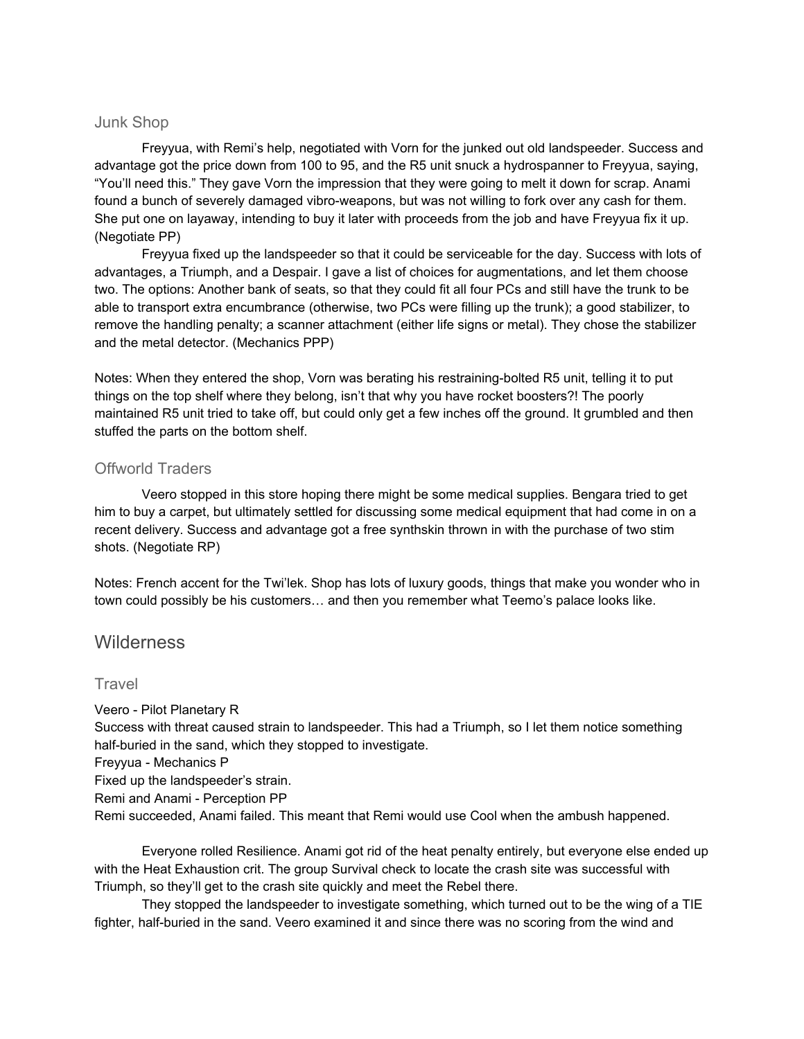#### Junk Shop

Freyyua, with Remi's help, negotiated with Vorn for the junked out old landspeeder. Success and advantage got the price down from 100 to 95, and the R5 unit snuck a hydrospanner to Freyyua, saying, "You'll need this." They gave Vorn the impression that they were going to melt it down for scrap. Anami found a bunch of severely damaged vibro-weapons, but was not willing to fork over any cash for them. She put one on layaway, intending to buy it later with proceeds from the job and have Freyyua fix it up. (Negotiate PP)

Freyyua fixed up the landspeeder so that it could be serviceable for the day. Success with lots of advantages, a Triumph, and a Despair. I gave a list of choices for augmentations, and let them choose two. The options: Another bank of seats, so that they could fit all four PCs and still have the trunk to be able to transport extra encumbrance (otherwise, two PCs were filling up the trunk); a good stabilizer, to remove the handling penalty; a scanner attachment (either life signs or metal). They chose the stabilizer and the metal detector. (Mechanics PPP)

Notes: When they entered the shop, Vorn was berating his restraining-bolted R5 unit, telling it to put things on the top shelf where they belong, isn't that why you have rocket boosters?! The poorly maintained R5 unit tried to take off, but could only get a few inches off the ground. It grumbled and then stuffed the parts on the bottom shelf.

#### Offworld Traders

Veero stopped in this store hoping there might be some medical supplies. Bengara tried to get him to buy a carpet, but ultimately settled for discussing some medical equipment that had come in on a recent delivery. Success and advantage got a free synthskin thrown in with the purchase of two stim shots. (Negotiate RP)

Notes: French accent for the Twi'lek. Shop has lots of luxury goods, things that make you wonder who in town could possibly be his customers… and then you remember what Teemo's palace looks like.

### **Wilderness**

#### **Travel**

Veero - Pilot Planetary R Success with threat caused strain to landspeeder. This had a Triumph, so I let them notice something half-buried in the sand, which they stopped to investigate. Freyyua - Mechanics P Fixed up the landspeeder's strain. Remi and Anami - Perception PP Remi succeeded, Anami failed. This meant that Remi would use Cool when the ambush happened.

Everyone rolled Resilience. Anami got rid of the heat penalty entirely, but everyone else ended up with the Heat Exhaustion crit. The group Survival check to locate the crash site was successful with Triumph, so they'll get to the crash site quickly and meet the Rebel there.

They stopped the landspeeder to investigate something, which turned out to be the wing of a TIE fighter, half-buried in the sand. Veero examined it and since there was no scoring from the wind and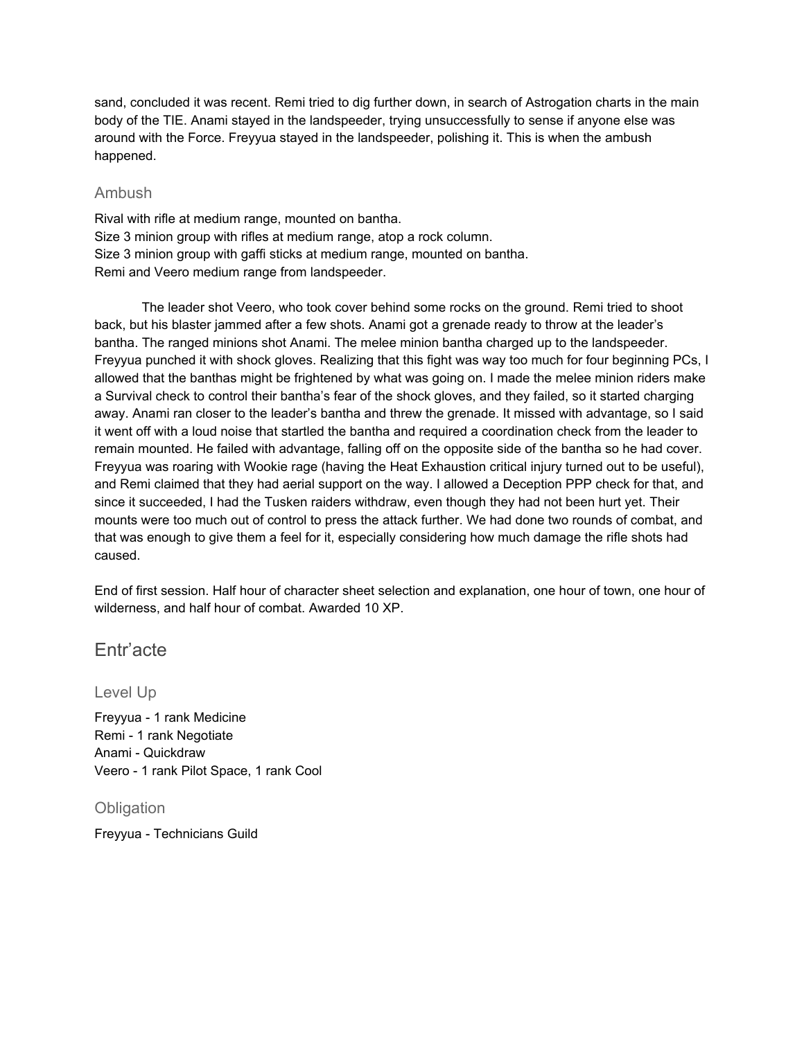sand, concluded it was recent. Remi tried to dig further down, in search of Astrogation charts in the main body of the TIE. Anami stayed in the landspeeder, trying unsuccessfully to sense if anyone else was around with the Force. Freyyua stayed in the landspeeder, polishing it. This is when the ambush happened.

#### Ambush

Rival with rifle at medium range, mounted on bantha. Size 3 minion group with rifles at medium range, atop a rock column. Size 3 minion group with gaffi sticks at medium range, mounted on bantha. Remi and Veero medium range from landspeeder.

The leader shot Veero, who took cover behind some rocks on the ground. Remi tried to shoot back, but his blaster jammed after a few shots. Anami got a grenade ready to throw at the leader's bantha. The ranged minions shot Anami. The melee minion bantha charged up to the landspeeder. Freyyua punched it with shock gloves. Realizing that this fight was way too much for four beginning PCs, I allowed that the banthas might be frightened by what was going on. I made the melee minion riders make a Survival check to control their bantha's fear of the shock gloves, and they failed, so it started charging away. Anami ran closer to the leader's bantha and threw the grenade. It missed with advantage, so I said it went off with a loud noise that startled the bantha and required a coordination check from the leader to remain mounted. He failed with advantage, falling off on the opposite side of the bantha so he had cover. Freyyua was roaring with Wookie rage (having the Heat Exhaustion critical injury turned out to be useful), and Remi claimed that they had aerial support on the way. I allowed a Deception PPP check for that, and since it succeeded, I had the Tusken raiders withdraw, even though they had not been hurt yet. Their mounts were too much out of control to press the attack further. We had done two rounds of combat, and that was enough to give them a feel for it, especially considering how much damage the rifle shots had caused.

End of first session. Half hour of character sheet selection and explanation, one hour of town, one hour of wilderness, and half hour of combat. Awarded 10 XP.

### Entr'acte

Level Up

Freyyua - 1 rank Medicine Remi - 1 rank Negotiate Anami - Quickdraw Veero - 1 rank Pilot Space, 1 rank Cool

**Obligation** 

Freyyua - Technicians Guild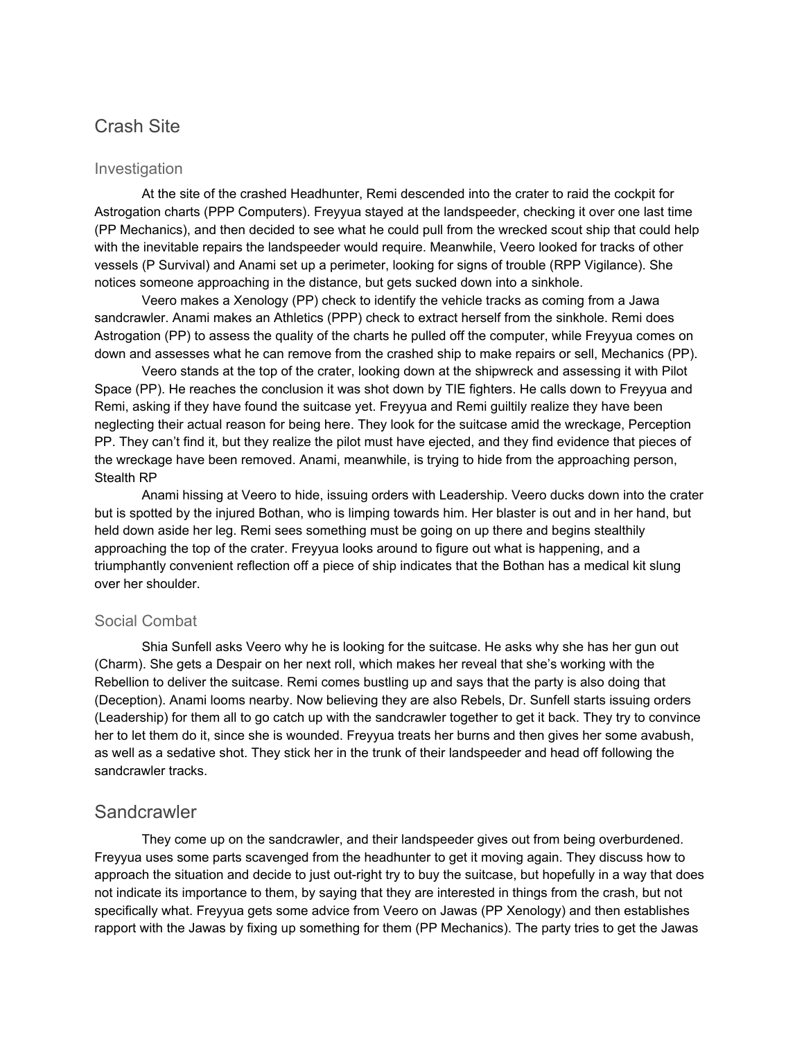### Crash Site

#### Investigation

At the site of the crashed Headhunter, Remi descended into the crater to raid the cockpit for Astrogation charts (PPP Computers). Freyyua stayed at the landspeeder, checking it over one last time (PP Mechanics), and then decided to see what he could pull from the wrecked scout ship that could help with the inevitable repairs the landspeeder would require. Meanwhile, Veero looked for tracks of other vessels (P Survival) and Anami set up a perimeter, looking for signs of trouble (RPP Vigilance). She notices someone approaching in the distance, but gets sucked down into a sinkhole.

Veero makes a Xenology (PP) check to identify the vehicle tracks as coming from a Jawa sandcrawler. Anami makes an Athletics (PPP) check to extract herself from the sinkhole. Remi does Astrogation (PP) to assess the quality of the charts he pulled off the computer, while Freyyua comes on down and assesses what he can remove from the crashed ship to make repairs or sell, Mechanics (PP).

Veero stands at the top of the crater, looking down at the shipwreck and assessing it with Pilot Space (PP). He reaches the conclusion it was shot down by TIE fighters. He calls down to Freyyua and Remi, asking if they have found the suitcase yet. Freyyua and Remi guiltily realize they have been neglecting their actual reason for being here. They look for the suitcase amid the wreckage, Perception PP. They can't find it, but they realize the pilot must have ejected, and they find evidence that pieces of the wreckage have been removed. Anami, meanwhile, is trying to hide from the approaching person, Stealth RP

Anami hissing at Veero to hide, issuing orders with Leadership. Veero ducks down into the crater but is spotted by the injured Bothan, who is limping towards him. Her blaster is out and in her hand, but held down aside her leg. Remi sees something must be going on up there and begins stealthily approaching the top of the crater. Freyyua looks around to figure out what is happening, and a triumphantly convenient reflection off a piece of ship indicates that the Bothan has a medical kit slung over her shoulder.

#### Social Combat

Shia Sunfell asks Veero why he is looking for the suitcase. He asks why she has her gun out (Charm). She gets a Despair on her next roll, which makes her reveal that she's working with the Rebellion to deliver the suitcase. Remi comes bustling up and says that the party is also doing that (Deception). Anami looms nearby. Now believing they are also Rebels, Dr. Sunfell starts issuing orders (Leadership) for them all to go catch up with the sandcrawler together to get it back. They try to convince her to let them do it, since she is wounded. Freyyua treats her burns and then gives her some avabush, as well as a sedative shot. They stick her in the trunk of their landspeeder and head off following the sandcrawler tracks.

#### **Sandcrawler**

They come up on the sandcrawler, and their landspeeder gives out from being overburdened. Freyyua uses some parts scavenged from the headhunter to get it moving again. They discuss how to approach the situation and decide to just out-right try to buy the suitcase, but hopefully in a way that does not indicate its importance to them, by saying that they are interested in things from the crash, but not specifically what. Freyyua gets some advice from Veero on Jawas (PP Xenology) and then establishes rapport with the Jawas by fixing up something for them (PP Mechanics). The party tries to get the Jawas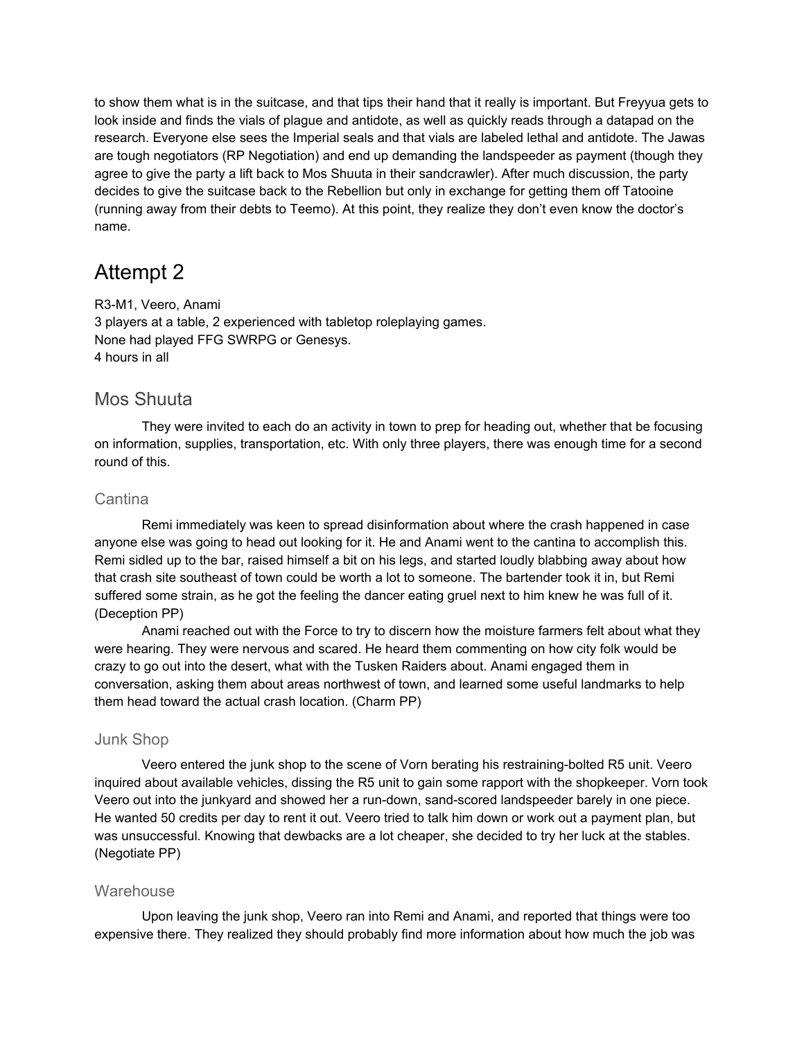to show them what is in the suitcase, and that tips their hand that it really is important. But Freyyua gets to look inside and finds the vials of plague and antidote, as well as quickly reads through a datapad on the research. Everyone else sees the Imperial seals and that vials are labeled lethal and antidote. The Jawas are tough negotiators (RP Negotiation) and end up demanding the landspeeder as payment (though they agree to give the party a lift back to Mos Shuuta in their sandcrawler). After much discussion, the party decides to give the suitcase back to the Rebellion but only in exchange for getting them off Tatooine (running away from their debts to Teemo). At this point, they realize they don't even know the doctor's name.

## Attempt 2

R3-M1, Veero, Anami 3 players at a table, 2 experienced with tabletop roleplaying games. None had played FFG SWRPG or Genesys. 4 hours in all

### Mos Shuuta

They were invited to each do an activity in town to prep for heading out, whether that be focusing on information, supplies, transportation, etc. With only three players, there was enough time for a second round of this.

#### **Cantina**

Remi immediately was keen to spread disinformation about where the crash happened in case anyone else was going to head out looking for it. He and Anami went to the cantina to accomplish this. Remi sidled up to the bar, raised himself a bit on his legs, and started loudly blabbing away about how that crash site southeast of town could be worth a lot to someone. The bartender took it in, but Remi suffered some strain, as he got the feeling the dancer eating gruel next to him knew he was full of it. (Deception PP)

Anami reached out with the Force to try to discern how the moisture farmers felt about what they were hearing. They were nervous and scared. He heard them commenting on how city folk would be crazy to go out into the desert, what with the Tusken Raiders about. Anami engaged them in conversation, asking them about areas northwest of town, and learned some useful landmarks to help them head toward the actual crash location. (Charm PP)

#### Junk Shop

Veero entered the junk shop to the scene of Vorn berating his restraining-bolted R5 unit. Veero inquired about available vehicles, dissing the R5 unit to gain some rapport with the shopkeeper. Vorn took Veero out into the junkyard and showed her a run-down, sand-scored landspeeder barely in one piece. He wanted 50 credits per day to rent it out. Veero tried to talk him down or work out a payment plan, but was unsuccessful. Knowing that dewbacks are a lot cheaper, she decided to try her luck at the stables. (Negotiate PP)

#### **Warehouse**

Upon leaving the junk shop, Veero ran into Remi and Anami, and reported that things were too expensive there. They realized they should probably find more information about how much the job was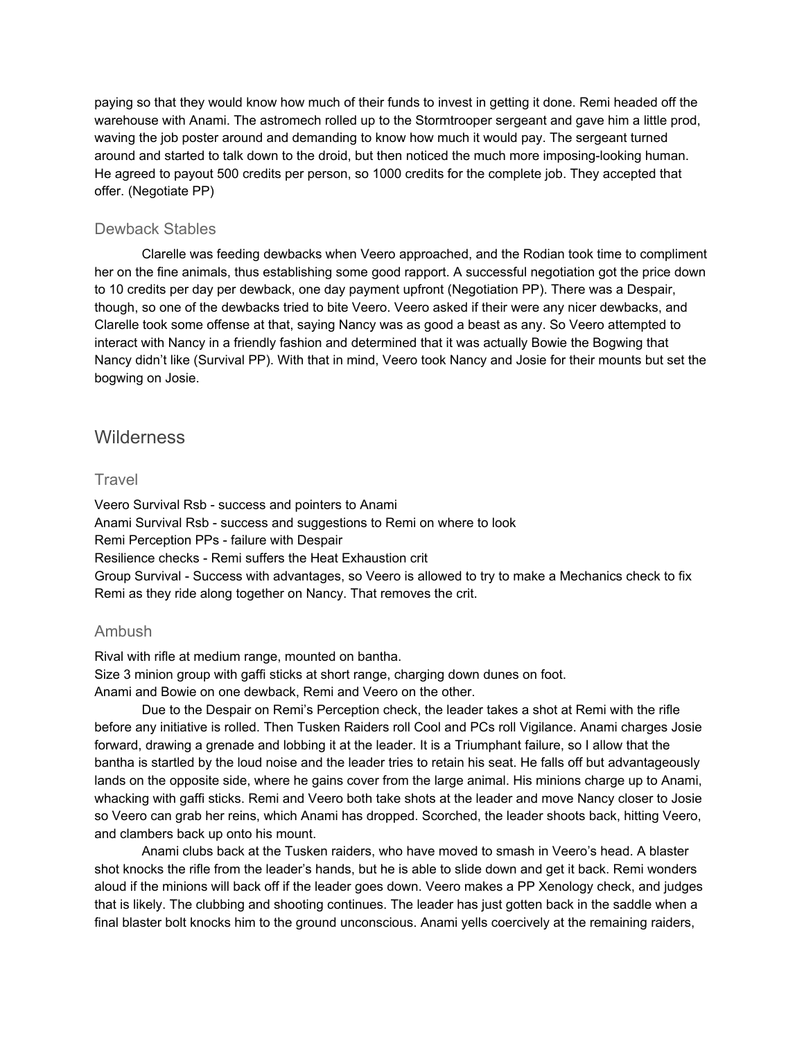paying so that they would know how much of their funds to invest in getting it done. Remi headed off the warehouse with Anami. The astromech rolled up to the Stormtrooper sergeant and gave him a little prod, waving the job poster around and demanding to know how much it would pay. The sergeant turned around and started to talk down to the droid, but then noticed the much more imposing-looking human. He agreed to payout 500 credits per person, so 1000 credits for the complete job. They accepted that offer. (Negotiate PP)

#### Dewback Stables

Clarelle was feeding dewbacks when Veero approached, and the Rodian took time to compliment her on the fine animals, thus establishing some good rapport. A successful negotiation got the price down to 10 credits per day per dewback, one day payment upfront (Negotiation PP). There was a Despair, though, so one of the dewbacks tried to bite Veero. Veero asked if their were any nicer dewbacks, and Clarelle took some offense at that, saying Nancy was as good a beast as any. So Veero attempted to interact with Nancy in a friendly fashion and determined that it was actually Bowie the Bogwing that Nancy didn't like (Survival PP). With that in mind, Veero took Nancy and Josie for their mounts but set the bogwing on Josie.

### **Wilderness**

#### **Travel**

Veero Survival Rsb - success and pointers to Anami Anami Survival Rsb - success and suggestions to Remi on where to look Remi Perception PPs - failure with Despair Resilience checks - Remi suffers the Heat Exhaustion crit Group Survival - Success with advantages, so Veero is allowed to try to make a Mechanics check to fix Remi as they ride along together on Nancy. That removes the crit.

#### Ambush

Rival with rifle at medium range, mounted on bantha. Size 3 minion group with gaffi sticks at short range, charging down dunes on foot. Anami and Bowie on one dewback, Remi and Veero on the other.

Due to the Despair on Remi's Perception check, the leader takes a shot at Remi with the rifle before any initiative is rolled. Then Tusken Raiders roll Cool and PCs roll Vigilance. Anami charges Josie forward, drawing a grenade and lobbing it at the leader. It is a Triumphant failure, so I allow that the bantha is startled by the loud noise and the leader tries to retain his seat. He falls off but advantageously lands on the opposite side, where he gains cover from the large animal. His minions charge up to Anami, whacking with gaffi sticks. Remi and Veero both take shots at the leader and move Nancy closer to Josie so Veero can grab her reins, which Anami has dropped. Scorched, the leader shoots back, hitting Veero, and clambers back up onto his mount.

Anami clubs back at the Tusken raiders, who have moved to smash in Veero's head. A blaster shot knocks the rifle from the leader's hands, but he is able to slide down and get it back. Remi wonders aloud if the minions will back off if the leader goes down. Veero makes a PP Xenology check, and judges that is likely. The clubbing and shooting continues. The leader has just gotten back in the saddle when a final blaster bolt knocks him to the ground unconscious. Anami yells coercively at the remaining raiders,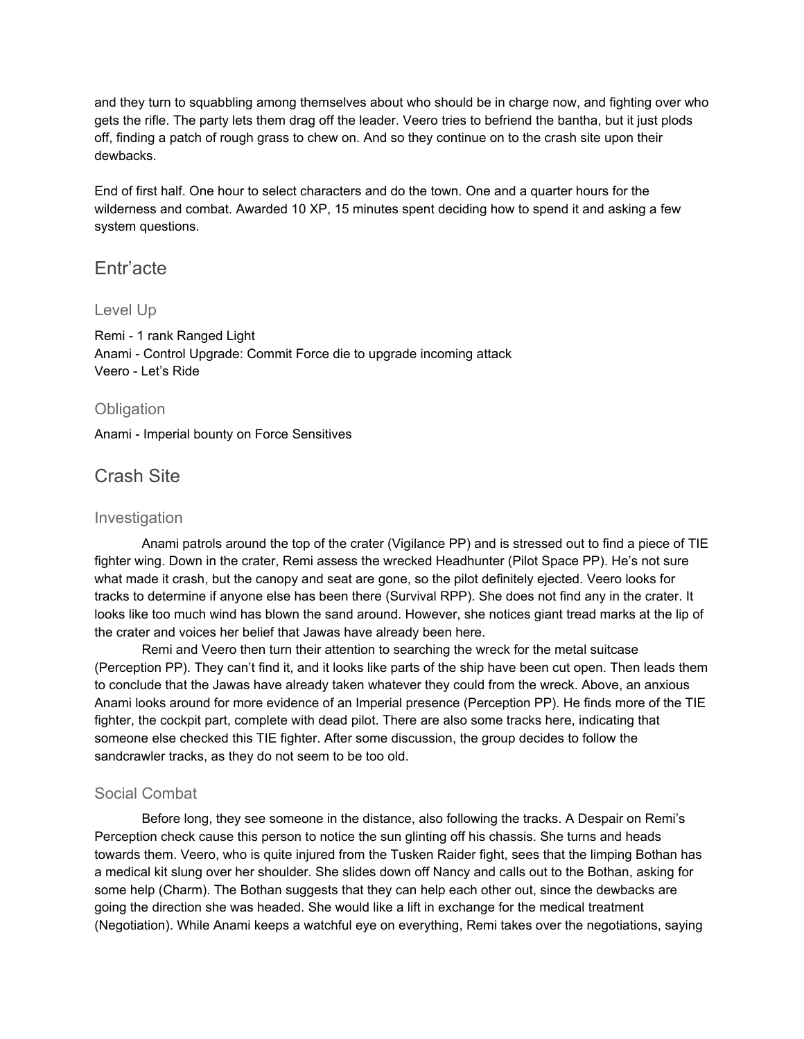and they turn to squabbling among themselves about who should be in charge now, and fighting over who gets the rifle. The party lets them drag off the leader. Veero tries to befriend the bantha, but it just plods off, finding a patch of rough grass to chew on. And so they continue on to the crash site upon their dewbacks.

End of first half. One hour to select characters and do the town. One and a quarter hours for the wilderness and combat. Awarded 10 XP, 15 minutes spent deciding how to spend it and asking a few system questions.

### Entr'acte

#### Level Up

Remi - 1 rank Ranged Light Anami - Control Upgrade: Commit Force die to upgrade incoming attack Veero - Let's Ride

#### **Obligation**

Anami - Imperial bounty on Force Sensitives

### Crash Site

#### Investigation

Anami patrols around the top of the crater (Vigilance PP) and is stressed out to find a piece of TIE fighter wing. Down in the crater, Remi assess the wrecked Headhunter (Pilot Space PP). He's not sure what made it crash, but the canopy and seat are gone, so the pilot definitely ejected. Veero looks for tracks to determine if anyone else has been there (Survival RPP). She does not find any in the crater. It looks like too much wind has blown the sand around. However, she notices giant tread marks at the lip of the crater and voices her belief that Jawas have already been here.

Remi and Veero then turn their attention to searching the wreck for the metal suitcase (Perception PP). They can't find it, and it looks like parts of the ship have been cut open. Then leads them to conclude that the Jawas have already taken whatever they could from the wreck. Above, an anxious Anami looks around for more evidence of an Imperial presence (Perception PP). He finds more of the TIE fighter, the cockpit part, complete with dead pilot. There are also some tracks here, indicating that someone else checked this TIE fighter. After some discussion, the group decides to follow the sandcrawler tracks, as they do not seem to be too old.

#### Social Combat

Before long, they see someone in the distance, also following the tracks. A Despair on Remi's Perception check cause this person to notice the sun glinting off his chassis. She turns and heads towards them. Veero, who is quite injured from the Tusken Raider fight, sees that the limping Bothan has a medical kit slung over her shoulder. She slides down off Nancy and calls out to the Bothan, asking for some help (Charm). The Bothan suggests that they can help each other out, since the dewbacks are going the direction she was headed. She would like a lift in exchange for the medical treatment (Negotiation). While Anami keeps a watchful eye on everything, Remi takes over the negotiations, saying